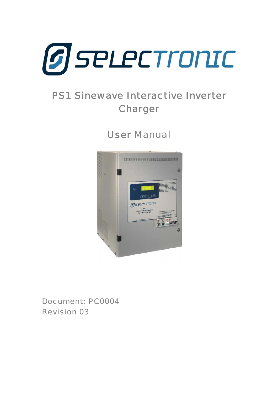<span id="page-0-0"></span>

# PS1 Sinewave Interactive Inverter Charger

User Manual



Document: PC0004 Revision 03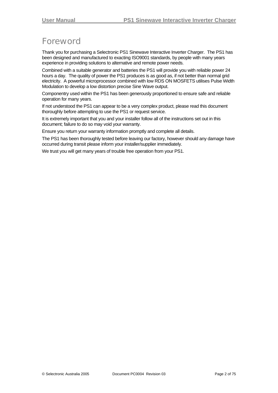# <span id="page-1-0"></span>**Foreword**

Thank you for purchasing a Selectronic PS1 Sinewave Interactive Inverter Charger. The PS1 has been designed and manufactured to exacting ISO9001 standards, by people with many years experience in providing solutions to alternative and remote power needs.

Combined with a suitable generator and batteries the PS1 will provide you with reliable power 24 hours a day. The quality of power the PS1 produces is as good as, if not better than normal grid electricity. A powerful microprocessor combined with low RDS ON MOSFETS utilises Pulse Width Modulation to develop a low distortion precise Sine Wave output.

Componentry used within the PS1 has been generously proportioned to ensure safe and reliable operation for many years.

If not understood the PS1 can appear to be a very complex product, please read this document thoroughly before attempting to use the PS1 or request service.

It is extremely important that you and your installer follow all of the instructions set out in this document; failure to do so may void your warranty.

Ensure you return your warranty information promptly and complete all details.

The PS1 has been thoroughly tested before leaving our factory, however should any damage have occurred during transit please inform your installer/supplier immediately.

We trust you will get many years of trouble free operation from your PS1.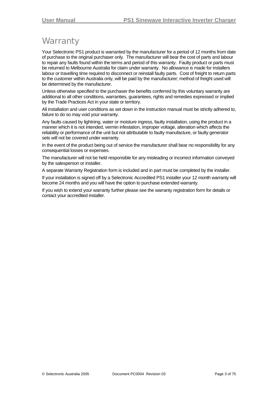### <span id="page-2-0"></span>**Warranty**

Your Selectronic PS1 product is warranted by the manufacturer for a period of 12 months from date of purchase to the original purchaser only. The manufacturer will bear the cost of parts and labour to repair any faults found within the terms and period of this warranty. Faulty product or parts must be returned to Melbourne Australia for claim under warranty. No allowance is made for installers labour or travelling time required to disconnect or reinstall faulty parts. Cost of freight to return parts to the customer within Australia only, will be paid by the manufacturer; method of freight used will be determined by the manufacturer.

Unless otherwise specified to the purchaser the benefits conferred by this voluntary warranty are additional to all other conditions, warranties, guarantees, rights and remedies expressed or implied by the Trade Practices Act in your state or territory.

All installation and user conditions as set down in the instruction manual must be strictly adhered to, failure to do so may void your warranty.

Any faults caused by lightning, water or moisture ingress, faulty installation, using the product in a manner which it is not intended, vermin infestation, improper voltage, alteration which affects the reliability or performance of the unit but not attributable to faulty manufacture, or faulty generator sets will not be covered under warranty.

In the event of the product being out of service the manufacturer shall bear no responsibility for any consequential losses or expenses.

The manufacturer will not be held responsible for any misleading or incorrect information conveyed by the salesperson or installer.

A separate Warranty Registration form is included and in part must be completed by the installer.

If your installation is signed off by a Selectronic Accredited PS1 installer your 12 month warranty will become 24 months and you will have the option to purchase extended warranty.

If you wish to extend your warranty further please see the warranty registration form for details or contact your accredited installer.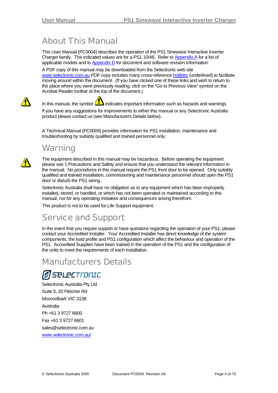# <span id="page-3-0"></span>About This Manual

This User Manual (PC0004) describes the operation of the PS1 Sinewave Interactive Inverter Charger family. The indicated values are for a PS1 10/48. Refer to [Appendix A](#page-65-0) for a list of applicable models and to [Appendix D](#page-74-0) for document and software revision information.

A PDF copy of this manual may be downloaded from the Selectronic web site [www.selectronic.com.au](http://www.selectronic.com.au/) PDF copy includes many cross-reference hotlinks (underlined) to facilitate moving around within the document. (If you have clicked one of these links and wish to return to the place where you were previously reading, click on the "Go to Previous View" symbol on the Acrobat Reader toolbar at the top of the document.)

In this manual, the symbol  $\langle \bullet \rangle$  indicates important information such as hazards and warnings.

If you have any suggestions for improvements to either this manual or any Selectronic Australia product please contact us (see Manufacturers Details below).

A Technical Manual (PC0009) provides information for PS1 installation, maintenance and troubleshooting by suitably qualified and trained personnel only.

## **Warning**

The equipment described in this manual may be hazardous. Before operating the equipment please see [1](#page-7-0) [Precautions and Safety](#page-7-0) and ensure that you understand the relevant information in the manual. No procedures in this manual require the PS1 front door to be opened. Only suitably qualified and trained installation, commissioning and maintenance personnel should open the PS1 door or disturb the PS1 wiring.

Selectronic Australia shall have no obligation as to any equipment which has been improperly installed, stored, or handled, or which has not been operated or maintained according to this manual, nor for any operating mistakes and consequences arising therefrom.

This product is not to be used for Life Support equipment.

# Service and Support

In the event that you require support or have questions regarding the operation of your PS1, please contact your Accredited Installer. Your Accredited Installer has direct knowledge of the system components, the load profile and PS1 configuration which affect the behaviour and operation of the PS1. Accredited Supplies have been trained in the operation of the PS1 and the configuration of the units to meet the requirements of each installation.

### Manufacturers Details

# *FELECTronIC*

Selectronic Australia Pty Ltd Suite 5, 20 Fletcher Rd Mooroolbark VIC 3138 Australia Ph +61 3 9727 6600 Fax +61 3 9727 6601 sales@selectronic.com.au [www.selectronic.com.au/](http://www.selectronic.com.au/)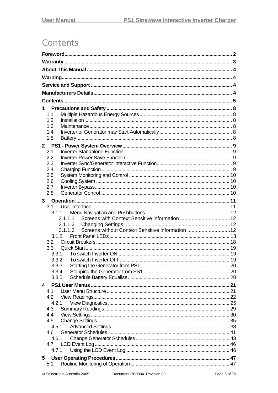# <span id="page-4-0"></span>**Contents**

| 1                                                           |  |  |
|-------------------------------------------------------------|--|--|
| 1.1                                                         |  |  |
| 1.2                                                         |  |  |
| 1.3                                                         |  |  |
| 1.4                                                         |  |  |
| 1.5                                                         |  |  |
| $2^{\circ}$                                                 |  |  |
| 2.1                                                         |  |  |
| 2.2<br>2.3                                                  |  |  |
| 2.4                                                         |  |  |
| 2.5                                                         |  |  |
| 2.6                                                         |  |  |
| 2.7                                                         |  |  |
| 2.8                                                         |  |  |
| 3 <sup>7</sup>                                              |  |  |
| 3.1                                                         |  |  |
| 3.1.1                                                       |  |  |
| 3.1.1.1                                                     |  |  |
|                                                             |  |  |
| Screens without Context Sensitive information 12<br>3.1.1.3 |  |  |
| 3.1.2                                                       |  |  |
| 3.2                                                         |  |  |
| 3.3<br>3.3.1                                                |  |  |
|                                                             |  |  |
| 3.3.3                                                       |  |  |
| 3.3.4                                                       |  |  |
| 3.3.5                                                       |  |  |
| 4                                                           |  |  |
| 4.1                                                         |  |  |
| 4.2                                                         |  |  |
| 4.2.1                                                       |  |  |
| 4.3                                                         |  |  |
| 4.4                                                         |  |  |
| 4.5                                                         |  |  |
| 4.5.1<br>4.6                                                |  |  |
| 4.6.1                                                       |  |  |
| 4.7                                                         |  |  |
| 4.7.1                                                       |  |  |
| 5                                                           |  |  |
| 5.1                                                         |  |  |
|                                                             |  |  |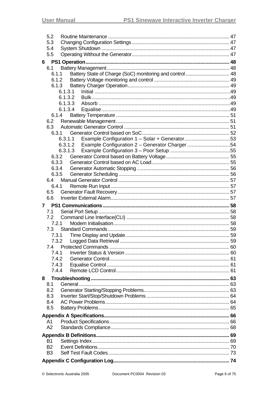| 5.2            |                                                                   |  |
|----------------|-------------------------------------------------------------------|--|
| 5.3            |                                                                   |  |
| 5.4            |                                                                   |  |
| 5.5            |                                                                   |  |
| 6              |                                                                   |  |
| 6.1            |                                                                   |  |
|                | Battery State of Charge (SoC) monitoring and control  48<br>6.1.1 |  |
|                | 6.1.2                                                             |  |
|                | 6.1.3                                                             |  |
|                | 6.1.3.1                                                           |  |
|                | 6.1.3.2                                                           |  |
|                | 6.1.3.3                                                           |  |
|                | 6.1.3.4                                                           |  |
|                | 6.1.4                                                             |  |
| 6.2            |                                                                   |  |
| 6.3            |                                                                   |  |
|                | 6.3.1                                                             |  |
|                | Example Configuration 1 - Solar + Generator53<br>6.3.1.1          |  |
|                | 6.3.1.2 Example Configuration 2 - Generator Charger 54            |  |
|                |                                                                   |  |
|                | 6.3.2                                                             |  |
|                | 6.3.3                                                             |  |
|                | 6.3.4                                                             |  |
|                | 6.3.5                                                             |  |
|                |                                                                   |  |
|                | 6.4.1                                                             |  |
| 6.5            |                                                                   |  |
| 6.6            |                                                                   |  |
|                |                                                                   |  |
|                |                                                                   |  |
| 7              |                                                                   |  |
| 7.1            |                                                                   |  |
| 7.2            |                                                                   |  |
|                | 7.2.1                                                             |  |
| 7.3            |                                                                   |  |
|                | 7.3.1                                                             |  |
|                |                                                                   |  |
| 7.4            |                                                                   |  |
|                | 7.4.1                                                             |  |
|                | 7.4.2                                                             |  |
|                | 7.4.3                                                             |  |
|                | 7.4.4                                                             |  |
| 8              |                                                                   |  |
| 8.1            |                                                                   |  |
| 8.2            |                                                                   |  |
| 8.3            |                                                                   |  |
|                |                                                                   |  |
| 8.4            |                                                                   |  |
| 8.5            |                                                                   |  |
|                |                                                                   |  |
| A1             |                                                                   |  |
| A2             |                                                                   |  |
|                |                                                                   |  |
| <b>B1</b>      |                                                                   |  |
| <b>B2</b>      |                                                                   |  |
| B <sub>3</sub> |                                                                   |  |
|                |                                                                   |  |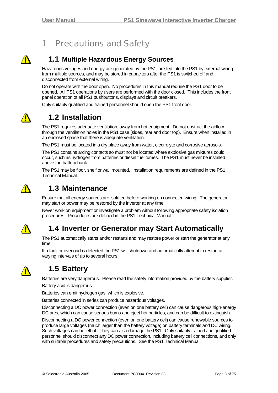# 1 Precautions and Safety

<span id="page-7-1"></span><span id="page-7-0"></span>

### **1.1 Multiple Hazardous Energy Sources**

Hazardous voltages and energy are generated by the PS1, are fed into the PS1 by external wiring from multiple sources, and may be stored in capacitors after the PS1 is switched off and disconnected from external wiring.

Do not operate with the door open. No procedures in this manual require the PS1 door to be opened. All PS1 operations by users are performed with the door closed. This includes the front panel operation of all PS1 pushbuttons, displays and circuit breakers.

Only suitably qualified and trained personnel should open the PS1 front door.



### **1.2 Installation**

The PS1 requires adequate ventilation, away from hot equipment. Do not obstruct the airflow through the ventilation holes in the PS1 case (sides, rear and door top). Ensure when installed in an enclosed space that there is adequate ventilation.

The PS1 must be located in a dry place away from water, electrolyte and corrosive aerosols.

The PS1 contains arcing contacts so must not be located where explosive gas mixtures could occur, such as hydrogen from batteries or diesel fuel fumes. The PS1 must never be installed above the battery bank.

The PS1 may be floor, shelf or wall mounted. Installation requirements are defined in the PS1 Technical Manual.



### **1.3 Maintenance**

Ensure that all energy sources are isolated before working on connected wiring. The generator may start or power may be restored by the inverter at any time

Never work on equipment or investigate a problem without following appropriate safety isolation procedures. Procedures are defined in the PS1 Technical Manual.

⚠

### **1.4 Inverter or Generator may Start Automatically**

The PS1 automatically starts and/or restarts and may restore power or start the generator at any time.

If a fault or overload is detected the PS1 will shutdown and automatically attempt to restart at varying intervals of up to several hours.



### **1.5 Battery**

Batteries are very dangerous. Please read the safety information provided by the battery supplier.

Battery acid is dangerous.

Batteries can emit hydrogen gas, which is explosive.

Batteries connected in series can produce hazardous voltages.

Disconnecting a DC power connection (even on one battery cell) can cause dangerous high-energy DC arcs, which can cause serious burns and eject hot particles, and can be difficult to extinguish.

Disconnecting a DC power connection (even on one battery cell) can cause renewable sources to produce large voltages (much larger than the battery voltage) on battery terminals and DC wiring. Such voltages can be lethal. They can also damage the PS1. Only suitably trained and qualified personnel should disconnect any DC power connection, including battery cell connections, and only with suitable procedures and safety precautions. See the PS1 Technical Manual.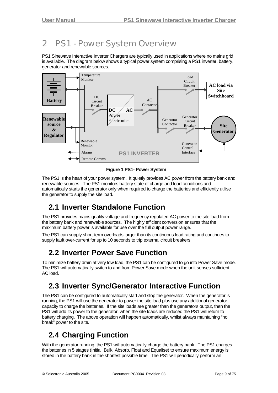# <span id="page-8-0"></span>2 PS1 - Power System Overview

PS1 Sinewave Interactive Inverter Chargers are typically used in applications where no mains grid is available. The diagram below shows a typical power system comprising a PS1 inverter, battery, generator and renewable sources.



**Figure 1 PS1- Power System** 

The PS1 is the heart of your power system. It quietly provides AC power from the battery bank and renewable sources. The PS1 monitors battery state of charge and load conditions and automatically starts the generator only when required to charge the batteries and efficiently utilise the generator to supply the site load.

# **2.1 Inverter Standalone Function**

The PS1 provides mains quality voltage and frequency regulated AC power to the site load from the battery bank and renewable sources. The highly efficient conversion ensures that the maximum battery power is available for use over the full output power range.

The PS1 can supply short-term overloads larger than its continuous load rating and continues to supply fault over-current for up to 10 seconds to trip external circuit breakers.

### **2.2 Inverter Power Save Function**

To minimize battery drain at very low load, the PS1 can be configured to go into Power Save mode. The PS1 will automatically switch to and from Power Save mode when the unit senses sufficient AC load.

### **2.3 Inverter Sync/Generator Interactive Function**

The PS1 can be configured to automatically start and stop the generator. When the generator is running, the PS1 will use the generator to power the site load plus use any additional generator capacity to charge the batteries. If the site loads are greater than the generators output, then the PS1 will add its power to the generator, when the site loads are reduced the PS1 will return to battery charging. The above operation will happen automatically, whilst always maintaining "no break" power to the site.

# **2.4 Charging Function**

With the generator running, the PS1 will automatically charge the battery bank. The PS1 charges the batteries in 5 stages (Initial, Bulk, Absorb, Float and Equalise) to ensure maximum energy is stored in the battery bank in the shortest possible time. The PS1 will periodically perform an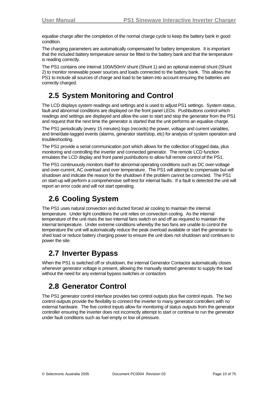<span id="page-9-0"></span>equalise charge after the completion of the normal charge cycle to keep the battery bank in good condition.

The charging parameters are automatically compensated for battery temperature. It is important that the included battery temperature sensor be fitted to the battery bank and that the temperature is reading correctly.

The PS1 contains one internal 100A/50mV shunt (Shunt 1) and an optional external shunt (Shunt 2) to monitor renewable power sources and loads connected to the battery bank. This allows the PS1 to include all sources of charge and load to be taken into account ensuring the batteries are correctly charged.

# **2.5 System Monitoring and Control**

The LCD displays system readings and settings and is used to adjust PS1 settings. System status, fault and abnormal conditions are displayed on the front panel LEDs. Pushbuttons control which readings and settings are displayed and allow the user to start and stop the generator from the PS1 and request that the next time the generator is started that the unit performs an equalise charge.

The PS1 periodically (every 15 minutes) logs (records) the power, voltage and current variables, and time/date-tagged events (alarms, generator start/stop, etc) for analysis of system operation and troubleshooting.

The PS1 provide a serial communication port which allows for the collection of logged data, plus monitoring and controlling the inverter and connected generator. The remote LCD function emulates the LCD display and front panel pushbuttons to allow full remote control of the PS1.

The PS1 continuously monitors itself for abnormal operating conditions such as DC over-voltage and over-current, AC overload and over temperature. The PS1 will attempt to compensate but will shutdown and indicate the reason for the shutdown if the problem cannot be corrected. The PS1 on start-up will perform a comprehensive self-test for internal faults. If a fault is detected the unit will report an error code and will not start operating.

# **2.6 Cooling System**

The PS1 uses natural convection and ducted forced air cooling to maintain the internal temperature. Under light conditions the unit relies on convection cooling. As the internal temperature of the unit rises the two internal fans switch on and off as required to maintain the internal temperature. Under extreme conditions whereby the two fans are unable to control the temperature the unit will automatically reduce the peak overload available or start the generator to shed load or reduce battery charging power to ensure the unit does not shutdown and continues to power the site.

### **2.7 Inverter Bypass**

When the PS1 is switched off or shutdown, the internal Generator Contactor automatically closes whenever generator voltage is present, allowing the manually started generator to supply the load without the need for any external bypass switches or contactors

### **2.8 Generator Control**

The PS1 generator control interface provides two control outputs plus five control inputs. The two control outputs provide the flexibility to connect the inverter to many generator controllers with no external hardware. The five control inputs allow for monitoring of status outputs from the generator controller ensuring the inverter does not incorrectly attempt to start or continue to run the generator under fault conditions such as fuel empty or low oil pressure.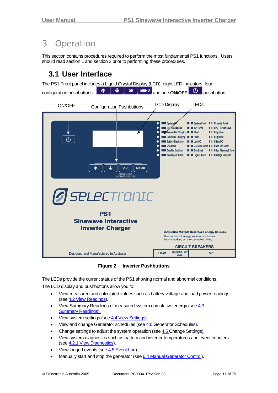# <span id="page-10-0"></span>3 Operation

This section contains procedures required to perform the most fundamental PS1 functions. Users should read section 1 and section 2 prior to performing these procedures.

### **3.1 User Interface**



**Figure 2 Inverter Pushbuttons** 

The LEDs provide the current status of the PS1 showing normal and abnormal conditions. The LCD display and pushbuttons allow you to:

- View measured and calculated values such as battery voltage and load power readings (see [4.2](#page-21-1) [View Readings](#page-21-0)).
- View Summary Readings of measured system cumulative energy (see [4.3](#page-28-1) [Summary Readings\)](#page-28-1).
- View system settings (see [4.4](#page-29-1) [View Settings\)](#page-29-1).
- View and change Generator schedules (see [4.6](#page-40-1) [Generator Schedules](#page-40-1)).
- Change settings to adjust the system operation (see [4.5](#page-34-1) [Change Settings](#page-34-1)).
- View system diagnostics such as battery and inverter temperatures and event counters (see [4.2.1](#page-24-1) [View Diagnostics](#page-24-0)).
- View logged events (see [4.5](#page-41-0) [Event Log](#page-0-0)).
- Manually start and stop the generator (see [6.4](#page-56-1) [Manual Generator Control\)](#page-56-1).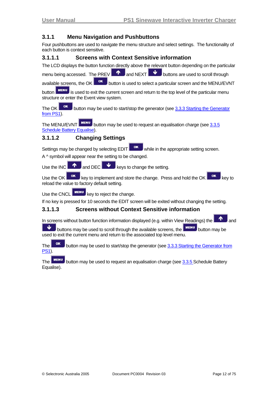#### <span id="page-11-1"></span><span id="page-11-0"></span>**3.1.1 Menu Navigation and Pushbuttons**

Four pushbuttons are used to navigate the menu structure and select settings. The functionality of each button is context sensitive.

#### **3.1.1.1 Screens with Context Sensitive information**

The LCD displays the button function directly above the relevant button depending on the particular

menu being accessed. The PREV  $\blacksquare$  and NEXT buttons are used to scroll through

available screens, the OK  $\overline{\phantom{a}}$  button is used to select a particular screen and the MENU/EVNT

 $\frac{m}{m}$  is used to exit the current screen and return to the top level of the particular menu structure or enter the Event view system.

The OK **button may be used to start/stop the generator (see [3.3.3](#page-19-1) [Starting the Generator](#page-19-1)** [from PS1\)](#page-19-1).

The MENU/EVNT MENU button may be used to request an equalisation charge (see [3.3.5](#page-19-2)) [Schedule Battery Equalise\)](#page-19-2).

#### **3.1.1.2 Changing Settings**

Settings may be changed by selecting  $E$ DIT while in the appropriate setting screen. A ^ symbol will appear near the setting to be changed.

Use the INC  $\blacksquare$  and DEC keys to change the setting.

Use the OK  $\left\lceil \frac{\mathsf{OK}}{\mathsf{OK}} \right\rceil$  key to implement and store the change. Press and hold the OK  $\left\lceil \frac{\mathsf{OK}}{\mathsf{OK}} \right\rceil$  key to reload the value to factory default setting.

Use the CNCL **MENU** key to reject the change.

If no key is pressed for 10 seconds the EDIT screen will be exited without changing the setting.

#### **3.1.1.3 Screens without Context Sensitive information**

In screens without button function information displayed (e.g. within View Readings) the

buttons may be used to scroll through the available screens, the **FILMENU** button may be used to exit the current menu and return to the associated top level menu.

The  $\overline{\phantom{a}}$  button may be used to start/stop the generator (see [3.3.3](#page-19-1) [Starting the Generator from](#page-19-1) [PS1](#page-19-1)).

 $\overline{\text{The}}$  MENU button may be used to request an equalisation charge (see [3.3.5](#page-19-2) Schedule Battery [Equalise](#page-19-2)).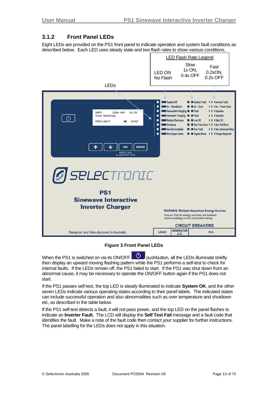#### <span id="page-12-1"></span><span id="page-12-0"></span>**3.1.2 Front Panel LEDs**

Eight LEDs are provided on the PS1 front panel to indicate operation and system fault conditions as described below. Each LED uses steady state and two flash rates to show various conditions.



#### **Figure 3 Front Panel LEDs**

When the PS1 is switched on via its ON/OFF  $\Box$  pushbutton, all the LEDs illuminate briefly then display an upward moving flashing pattern while the PS1 performs a self-test to check for internal faults. If the LEDs remain off, the PS1 failed to start. If the PS1 was shut down from an abnormal cause, it may be necessary to operate the ON/OFF button again if the PS1 does not start.

If the PS1 passes self-test, the top LED is steady illuminated to indicate **System OK**, and the other seven LEDs indicate various operating states according to their panel labels. The indicated states can include successful operation and also abnormalities such as over temperature and shutdown etc, as described in the table below.

If the PS1 self-test detects a fault, it will not pass power, and the top LED on the panel flashes to indicate an **Inverter Fault.** The LCD will display the **Self Test Fail** message and a fault code that identifies the fault. Make a note of the fault code then contact your supplier for further instructions. The panel labelling for the LEDs does not apply in this situation.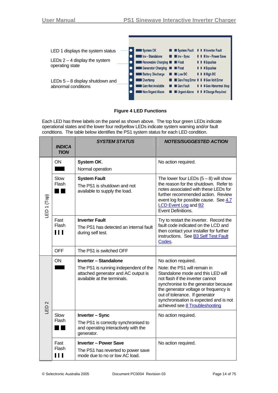

#### **Figure 4 LED Functions**

Each LED has three labels on the panel as shown above. The top four green LEDs indicate operational states and the lower four red/yellow LEDs indicate system warning and/or fault conditions. The table below identifies the PS1 system status for each LED condition.

|                        | <b>INDICA</b><br><b>TION</b>    | <b>SYSTEM STATUS</b>                                                                                                                        | <b>NOTES/SUGGESTED ACTION</b>                                                                                                                                                                                                                                                                                               |
|------------------------|---------------------------------|---------------------------------------------------------------------------------------------------------------------------------------------|-----------------------------------------------------------------------------------------------------------------------------------------------------------------------------------------------------------------------------------------------------------------------------------------------------------------------------|
|                        | <b>ON</b>                       | System OK.<br>Normal operation                                                                                                              | No action required.                                                                                                                                                                                                                                                                                                         |
| LED <sub>1</sub> (Top) | Slow<br>Flash                   | <b>System Fault</b><br>The PS1 is shutdown and not<br>available to supply the load.                                                         | The lower four LEDs $(5-8)$ will show<br>the reason for the shutdown. Refer to<br>notes associated with these LEDs for<br>further recommended action. Review<br>event log for possible cause. See 4.7<br><b>LCD Event Log and B2</b><br>Event Definitions.                                                                  |
|                        | Fast<br>Flash<br>$\blacksquare$ | <b>Inverter Fault</b><br>The PS1 has detected an internal fault<br>during self test.                                                        | Try to restart the inverter. Record the<br>fault code indicated on the LCD and<br>then contact your installer for further<br>instructions. See B3 Self Test Fault<br>Codes.                                                                                                                                                 |
|                        | <b>OFF</b>                      | The PS1 is switched OFF                                                                                                                     |                                                                                                                                                                                                                                                                                                                             |
| LED <sub>2</sub>       | <b>ON</b>                       | <b>Inverter - Standalone</b><br>The PS1 is running independent of the<br>attached generator and AC output is<br>available at the terminals. | No action required.<br>Note: the PS1 will remain in<br>Standalone mode and this LED will<br>not flash if the inverter cannot<br>synchronise to the generator because<br>the generator voltage or frequency is<br>out of tolerance. If generator<br>synchronisation is expected and is not<br>achieved see 8 Troubleshooting |
|                        | Slow<br>Flash                   | Inverter - Sync<br>The PS1 is correctly synchronised to<br>and operating interactively with the<br>generator.                               | No action required.                                                                                                                                                                                                                                                                                                         |
|                        | Fast<br>Flash<br>$\blacksquare$ | <b>Inverter - Power Save</b><br>The PS1 has reverted to power save<br>mode due to no or low AC load.                                        | No action required.                                                                                                                                                                                                                                                                                                         |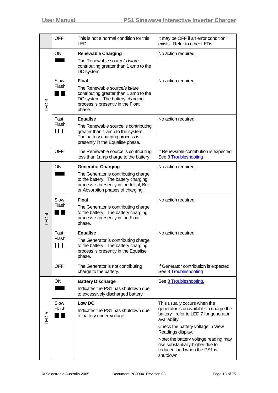|                  | <b>OFF</b>         | This is not a normal condition for this<br>LED.                                                                                                                                             | It may be OFF if an error condition<br>exists. Refer to other LEDs.                                                                                                                                                                  |
|------------------|--------------------|---------------------------------------------------------------------------------------------------------------------------------------------------------------------------------------------|--------------------------------------------------------------------------------------------------------------------------------------------------------------------------------------------------------------------------------------|
|                  | ON                 | <b>Renewable Charging</b><br>The Renewable source/s is/are<br>contributing greater than 1 amp to the<br>DC system.                                                                          | No action required.                                                                                                                                                                                                                  |
| ო<br>日           | Slow<br>Flash      | <b>Float</b><br>The Renewable source/s is/are<br>contributing greater than 1 amp to the<br>DC system. The battery charging<br>process is presently in the Float<br>phase.                   | No action required.                                                                                                                                                                                                                  |
|                  | Fast<br>Flash<br>Ш | <b>Equalise</b><br>The Renewable source is contributing<br>greater than 1 amp to the system.<br>The battery charging process is<br>presently in the Equalise phase.                         | No action required.                                                                                                                                                                                                                  |
|                  | <b>OFF</b>         | The Renewable source is contributing<br>less than 1 amp charge to the battery.                                                                                                              | If Renewable contribution is expected<br>See 8 Troubleshooting                                                                                                                                                                       |
| LED <sub>4</sub> | <b>ON</b>          | <b>Generator Charging</b><br>The Generator is contributing charge<br>to the battery. The battery charging<br>process is presently in the Initial, Bulk<br>or Absorption phases of charging. | No action required.                                                                                                                                                                                                                  |
|                  | Slow<br>Flash      | <b>Float</b><br>The Generator is contributing charge<br>to the battery. The battery charging<br>process is presently in the Float<br>phase.                                                 | No action required.                                                                                                                                                                                                                  |
|                  | Fast<br>Flash<br>Ш | <b>Equalise</b><br>The Generator is contributing charge<br>to the battery. The battery charging<br>process is presently in the Equalise<br>phase.                                           | No action required.                                                                                                                                                                                                                  |
|                  | <b>OFF</b>         | The Generator is not contributing<br>charge to the battery.                                                                                                                                 | If Generator contribution is expected<br>See 8 Troubleshooting                                                                                                                                                                       |
|                  | ON                 | <b>Battery Discharge</b><br>Indicates the PS1 has shutdown due<br>to excessively discharged battery                                                                                         | See 8 Troubleshooting.                                                                                                                                                                                                               |
| LO<br>山          | Slow<br>Flash      | Low DC<br>Indicates the PS1 has shutdown due<br>to battery under-voltage.                                                                                                                   | This usually occurs when the<br>generator is unavailable to charge the<br>battery - refer to LED 7 for generator<br>availability.<br>Check the battery voltage in View<br>Readings display.<br>Note: the battery voltage reading may |
|                  |                    |                                                                                                                                                                                             | rise substantially higher due to<br>reduced load when the PS1 is<br>shutdown.                                                                                                                                                        |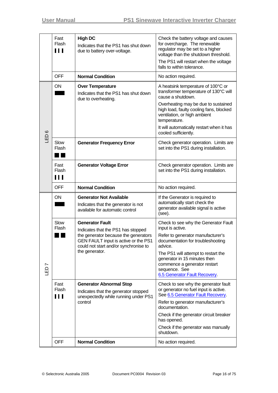|         | Fast<br>Flash<br>$\blacksquare$ | <b>High DC</b><br>Indicates that the PS1 has shut down<br>due to battery over-voltage.                                                                                                                  | Check the battery voltage and causes<br>for overcharge. The renewable<br>regulator may be set to a higher<br>voltage than the shutdown threshold.<br>The PS1 will restart when the voltage<br>falls to within tolerance.                                                                               |
|---------|---------------------------------|---------------------------------------------------------------------------------------------------------------------------------------------------------------------------------------------------------|--------------------------------------------------------------------------------------------------------------------------------------------------------------------------------------------------------------------------------------------------------------------------------------------------------|
|         | <b>OFF</b>                      | <b>Normal Condition</b>                                                                                                                                                                                 | No action required.                                                                                                                                                                                                                                                                                    |
|         | <b>ON</b>                       | <b>Over Temperature</b><br>Indicates that the PS1 has shut down<br>due to overheating.                                                                                                                  | A heatsink temperature of 100°C or<br>transformer temperature of 130°C will<br>cause a shutdown.<br>Overheating may be due to sustained<br>high load, faulty cooling fans, blocked<br>ventilation, or high ambient<br>temperature.                                                                     |
| $\circ$ |                                 |                                                                                                                                                                                                         | It will automatically restart when it has<br>cooled sufficiently.                                                                                                                                                                                                                                      |
| GED     | Slow<br>Flash                   | <b>Generator Frequency Error</b>                                                                                                                                                                        | Check generator operation. Limits are<br>set into the PS1 during installation.                                                                                                                                                                                                                         |
|         | Fast<br>Flash<br>$\blacksquare$ | <b>Generator Voltage Error</b>                                                                                                                                                                          | Check generator operation. Limits are<br>set into the PS1 during installation.                                                                                                                                                                                                                         |
|         | <b>OFF</b>                      | <b>Normal Condition</b>                                                                                                                                                                                 | No action required.                                                                                                                                                                                                                                                                                    |
| LED7    | <b>ON</b>                       | <b>Generator Not Available</b><br>Indicates that the generator is not<br>available for automatic control                                                                                                | If the Generator is required to<br>automatically start check the<br>generator available signal is active<br>(see).                                                                                                                                                                                     |
|         | Slow<br>Flash                   | <b>Generator Fault</b><br>Indicates that the PS1 has stopped<br>the generator because the generators<br>GEN FAULT input is active or the PS1<br>could not start and/or synchronise to<br>the generator. | Check to see why the Generator Fault<br>input is active.<br>Refer to generator manufacturer's<br>documentation for troubleshooting<br>advice.<br>The PS1 will attempt to restart the<br>generator in 15 minutes then<br>commence a generator restart<br>sequence. See<br>6.5 Generator Fault Recovery. |
|         | Fast<br>Flash<br>Ш              | <b>Generator Abnormal Stop</b><br>Indicates that the generator stopped<br>unexpectedly while running under PS1<br>control                                                                               | Check to see why the generator fault<br>or generator no fuel input is active.<br>See 6.5 Generator Fault Recovery.<br>Refer to generator manufacturer's<br>documentation.<br>Check if the generator circuit breaker<br>has opened.<br>Check if the generator was manually<br>shutdown.                 |
|         | <b>OFF</b>                      | <b>Normal Condition</b>                                                                                                                                                                                 | No action required.                                                                                                                                                                                                                                                                                    |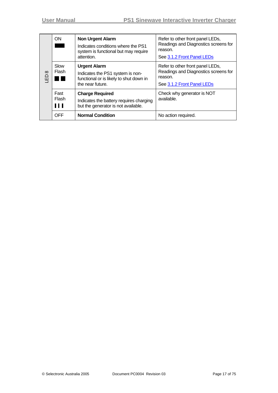| <b>ON</b><br><b>Non Urgent Alarm</b><br>attention.<br>Slow<br><b>Urgent Alarm</b><br>Flash<br>$\infty$<br>品<br>the near future. |                                                                             | Indicates conditions where the PS1<br>system is functional but may require                                        | Refer to other front panel LEDs,<br>Readings and Diagnostics screens for<br>reason.<br>See 3.1.2 Front Panel LEDs |
|---------------------------------------------------------------------------------------------------------------------------------|-----------------------------------------------------------------------------|-------------------------------------------------------------------------------------------------------------------|-------------------------------------------------------------------------------------------------------------------|
|                                                                                                                                 | Indicates the PS1 system is non-<br>functional or is likely to shut down in | Refer to other front panel LEDs,<br>Readings and Diagnostics screens for<br>reason.<br>See 3.1.2 Front Panel LEDs |                                                                                                                   |
|                                                                                                                                 | Fast<br>Flash<br>$\blacksquare$                                             | <b>Charge Required</b><br>Indicates the battery requires charging<br>but the generator is not available.          | Check why generator is NOT<br>available.                                                                          |
|                                                                                                                                 | <b>OFF</b>                                                                  | <b>Normal Condition</b>                                                                                           | No action required.                                                                                               |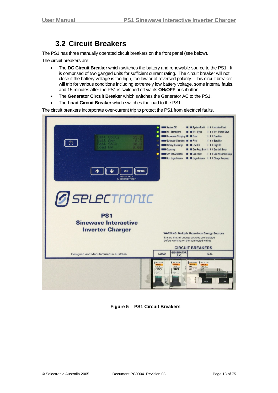### **3.2 Circuit Breakers**

<span id="page-17-0"></span>The PS1 has three manually operated circuit breakers on the front panel (see below).

The circuit breakers are:

- The **DC Circuit Breaker** which switches the battery and renewable source to the PS1. It is comprised of two ganged units for sufficient current rating. The circuit breaker will not close if the battery voltage is too high, too low or of reversed polarity. This circuit breaker will trip for various conditions including extremely low battery voltage, some internal faults, and 15 minutes after the PS1 is switched off via its **ON/OFF** pushbutton.
- The **Generator Circuit Breaker** which switches the Generator AC to the PS1.
- The **Load Circuit Breaker** which switches the load to the PS1.

The circuit breakers incorporate over-current trip to protect the PS1 from electrical faults.

| Batt Volts<br>Batt Ame<br>$M -$<br>$\mathcal{L}$<br>Batt SoC%<br>90.0<br>Load kW<br>0.00<br><b>MENU</b><br>OK<br><b>PRESS &amp; HOLD</b><br>for GEN START / STOP | System OK<br>System Fault       I Inverter Fault<br>Inv - Standalone<br>I I I Inv - Power Save<br>Inv - Sync<br>Renewable Charging <b>B</b> Float<br>I I I Equalise<br>Generator Charging <b>Company</b> Float<br>I I I Equalise<br><b>Battery Discharge</b><br>I I I High DC<br><b>ELow DC</b><br>٠<br><b>Overtemp</b><br>Gen Freq Error 1 1 1 Gen Volt Error<br>Gen Not Available<br>Gen Fault<br>II Gen Abnormal Stop<br>٠<br>Non Urgent Alarm<br>Urgent Alarm       Charge Required                                                                                                                                                                                                                                                                  |
|------------------------------------------------------------------------------------------------------------------------------------------------------------------|----------------------------------------------------------------------------------------------------------------------------------------------------------------------------------------------------------------------------------------------------------------------------------------------------------------------------------------------------------------------------------------------------------------------------------------------------------------------------------------------------------------------------------------------------------------------------------------------------------------------------------------------------------------------------------------------------------------------------------------------------------|
| <b><i>G</i></b> SELECTronIC<br><b>PS1</b><br><b>Sinewave Interactive</b><br><b>Inverter Charger</b>                                                              | <b>WARNING: Multiple Hazardous Energy Sources</b><br>Ensure that all energy sources are isolated<br>before working on the connected wiring.                                                                                                                                                                                                                                                                                                                                                                                                                                                                                                                                                                                                              |
| Designed and Manufactured in Australia                                                                                                                           | <b>CIRCUIT BREAKERS</b><br><b>GENERATOR</b><br>LOAD<br>D.C.<br>A.C.                                                                                                                                                                                                                                                                                                                                                                                                                                                                                                                                                                                                                                                                                      |
|                                                                                                                                                                  | <b>MERLIN GERIN</b><br><b>S</b> MERLIN GERIN<br><b>MERLIN GERIN</b><br><b>MERLINGERIN</b><br><b>MERLINGERIN</b><br>C60a<br>multi 9<br>multi9<br><b>C120N</b><br>C60a<br><b>MN</b><br>C125<br>$\frac{1}{\sqrt{1+\frac{1}{2}}}\frac{1}{\sqrt{1+\frac{1}{2}}}\frac{1}{\sqrt{1+\frac{1}{2}}}\frac{1}{\sqrt{1+\frac{1}{2}}}\frac{1}{\sqrt{1+\frac{1}{2}}}\frac{1}{\sqrt{1+\frac{1}{2}}}\frac{1}{\sqrt{1+\frac{1}{2}}}\frac{1}{\sqrt{1+\frac{1}{2}}}\frac{1}{\sqrt{1+\frac{1}{2}}}\frac{1}{\sqrt{1+\frac{1}{2}}}\frac{1}{\sqrt{1+\frac{1}{2}}}\frac{1}{\sqrt{1+\frac{1}{2}}}\frac{1}{\sqrt{1+\frac{1}{2}}}\frac{1}{\sqrt{1+\frac{$<br>C <sub>63</sub><br>C63<br>$\frac{415VV}{22200}$<br>$\frac{4500}{3}$ 11361<br>11361<br>$\ddot{\circ}$<br>$1 - ON$<br>1.08 |

**Figure 5 PS1 Circuit Breakers**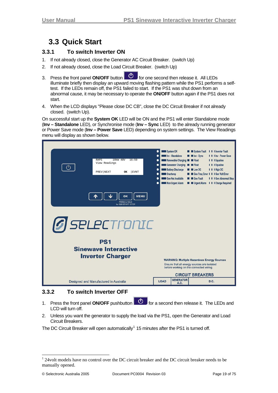### <span id="page-18-0"></span>**3.3 Quick Start**

#### **3.3.1 To switch Inverter ON**

- 1. If not already closed, close the Generator AC Circuit Breaker. (switch Up)
- 2. If not already closed, close the Load Circuit Breaker. (switch Up)
- 3. Press the front panel **ON/OFF** button **6.** For one second then release it. All LEDs illuminate briefly then display an upward moving flashing pattern while the PS1 performs a selftest. If the LEDs remain off, the PS1 failed to start. If the PS1 was shut down from an abnormal cause, it may be necessary to operate the **ON/OFF** button again if the PS1 does not start.
- 4. When the LCD displays "Please close DC CB", close the DC Circuit Breaker if not already closed. (switch Up).

On successful start up the **System OK** LED will be ON and the PS1 will enter Standalone mode (**Inv – Standalone** LED), or Synchronise mode (**Inv – Sync** LED) to the already running generator or Power Save mode (**Inv – Power Save** LED) depending on system settings. The View Readings menu will display as shown below.



#### **3.3.2 To switch Inverter OFF**

- 1. Press the front panel **ON/OFF** pushbutton **for a** second then release it. The LEDs and LCD will turn off.
- 2. Unless you want the generator to supply the load via the PS1, open the Generator and Load Circuit Breakers.

The DC Circuit Breaker will open automatically<sup>[1](#page-18-0)</sup> 15 minutes after the PS1 is turned off.

l

<sup>&</sup>lt;sup>1</sup> 24volt models have no control over the DC circuit breaker and the DC circuit breaker needs to be manually opened.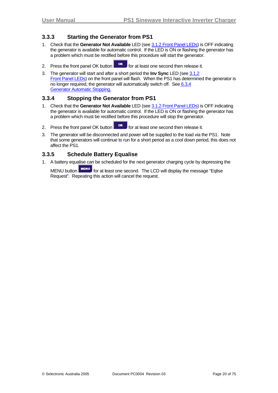#### <span id="page-19-1"></span><span id="page-19-0"></span>**3.3.3 Starting the Generator from PS1**

- 1. Check that the **Generator Not Available** LED (see [3.1.2](#page-12-1) [Front Panel LEDs\)](#page-12-1) is OFF indicating the generator is available for automatic control. If the LED is ON or flashing the generator has a problem which must be rectified before this procedure will start the generator.
- 2. Press the front panel OK button  $\begin{bmatrix} \text{OK} \\ \text{OK} \end{bmatrix}$  for at least one second then release it.
- 3. The generator will start and after a short period the **Inv Sync** LED (see [3.1.2](#page-12-1) [Front Panel LEDs\)](#page-12-1) on the front panel will flash. When the PS1 has determined the generator is no longer required, the generator will automatically switch off. See [6.3.4](#page-55-1) **[Generator Automatic Stopping](#page-55-1).**

#### **3.3.4 Stopping the Generator from PS1**

- 1. Check that the **Generator Not Available** LED (see [3.1.2](#page-12-1) [Front Panel LEDs\)](#page-12-1) is OFF indicating the generator is available for automatic control. If the LED is ON or flashing the generator has a problem which must be rectified before this procedure will stop the generator.
- 2. Press the front panel OK button  $\begin{bmatrix} \text{OK} \\ \text{OK} \end{bmatrix}$  for at least one second then release it.
- 3. The generator will be disconnected and power will be supplied to the load via the PS1. Note that some generators will continue to run for a short period as a cool down period, this does not affect the PS1.

#### <span id="page-19-2"></span>**3.3.5 Schedule Battery Equalise**

1. A battery equalise can be scheduled for the next generator charging cycle by depressing the

MENU button MENU for at least one second. The LCD will display the message "Eqlise Request". Repeating this action will cancel the request.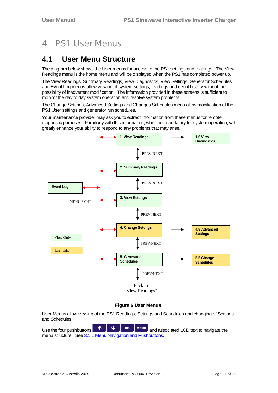# <span id="page-20-0"></span>4 PS1 User Menus

### **4.1 User Menu Structure**

The diagram below shows the User menus for access to the PS1 settings and readings. The View Readings menu is the home menu and will be displayed when the PS1 has completed power up.

The View Readings, Summary Readings, View Diagnostics, View Settings, Generator Schedules and Event Log menus allow viewing of system settings, readings and event history without the possibility of inadvertent modification. The information provided in these screens is sufficient to monitor the day to day system operation and resolve system problems.

The Change Settings, Advanced Settings and Changes Schedules menu allow modification of the PS1 User settings and generator run schedules.

Your maintenance provider may ask you to extract information from these menus for remote diagnostic purposes. Familiarly with this information, while not mandatory for system operation, will greatly enhance your ability to respond to any problems that may arise.



#### **Figure 6 User Menus**

User Menus allow viewing of the PS1 Readings, Settings and Schedules and changing of Settings and Schedules.

Use the four pushbuttons  $\begin{array}{|c|c|c|c|c|}\hline \textbf{A} & \textbf{U} & \textbf{ok} & \textbf{MENU} \hline \textbf{and} & \text{associated LCD text to navigate the} \hline \end{array}$ menu structure. See [3.1.1](#page-11-1) Menu [Navigation and Pushbuttons.](#page-11-1)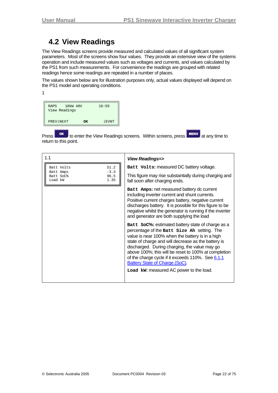### <span id="page-21-0"></span>**4.2 View Readings**

<span id="page-21-1"></span>The View Readings screens provide measured and calculated values of all significant system parameters. Most of the screens show four values. They provide an extensive view of the systems operation and include measured values such as voltages and currents, and values calculated by the PS1 from such measurements. For convenience the readings are grouped with related readings hence some readings are repeated in a number of places.

The values shown below are for illustration purposes only, actual values displayed will depend on the PS1 model and operating conditions.

1

| RAPS      | 10kW 48V<br>View Readings |    | 16:59       |
|-----------|---------------------------|----|-------------|
| PREV NEXT |                           | ΩK | <b>EVNT</b> |

Press **TOK** to enter the View Readings screens. Within screens, press **EXERICA** at any time to return to this point.

| 1.1                                               | <b>View Readings=&gt;</b>                                                                                                                                                                                                                                                                                                                                                                                                                                    |
|---------------------------------------------------|--------------------------------------------------------------------------------------------------------------------------------------------------------------------------------------------------------------------------------------------------------------------------------------------------------------------------------------------------------------------------------------------------------------------------------------------------------------|
| Batt Volts<br>51.2<br>$-3.3$                      | Batt Volts: measured DC battery voltage.                                                                                                                                                                                                                                                                                                                                                                                                                     |
| Batt Amps<br>96.5<br>Batt SoC%<br>1.35<br>Load kW | This figure may rise substantially during charging and<br>fall soon after charging ends.                                                                                                                                                                                                                                                                                                                                                                     |
|                                                   | Batt Amps: net measured battery dc current<br>including inverter current and shunt currents.<br>Positive current charges battery, negative current<br>discharges battery. It is possible for this figure to be<br>negative whilst the generator is running if the inverter<br>and generator are both supplying the load                                                                                                                                      |
|                                                   | Batt SoC%: estimated battery state of charge as a<br>percentage of the Batt size Ah setting. The<br>value is near 100% when the battery is in a high<br>state of charge and will decrease as the battery is<br>discharged. During charging, the value may go<br>above 100%; this will be reset to 100% at completion<br>of the charge cycle if it exceeds 110%. See 6.1.1<br><b>Battery State of Charge (SoC)</b><br>Load kw: measured AC power to the load. |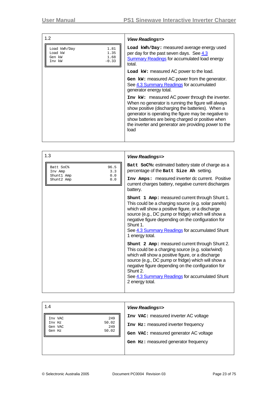| 1.2                                                                            | View Readings=>                                                                                                                                                                                                                                                                                                                           |
|--------------------------------------------------------------------------------|-------------------------------------------------------------------------------------------------------------------------------------------------------------------------------------------------------------------------------------------------------------------------------------------------------------------------------------------|
| 1.81<br>Load kWh/Day<br>Load kW<br>1.35<br>1.68<br>Gen kW<br>$-0.33$<br>Inv kW | Load kWh/Day: measured average energy used<br>per day for the past seven days. See 4.3<br>Summary Readings for accumulated load energy<br>total.                                                                                                                                                                                          |
|                                                                                | Load kw: measured AC power to the load.                                                                                                                                                                                                                                                                                                   |
|                                                                                | Gen kw: measured AC power from the generator.<br>See 4.3 Summary Readings for accumulated<br>generator energy total.                                                                                                                                                                                                                      |
|                                                                                | Inv kw: measured AC power through the inverter.<br>When no generator is running the figure will always<br>show positive (discharging the batteries). When a<br>generator is operating the figure may be negative to<br>show batteries are being charged or positive when<br>the inverter and generator are providing power to the<br>load |

| 1.3                                    | <b>View Readings=&gt;</b>                                                                                                                                                                                                                                                                                                                               |
|----------------------------------------|---------------------------------------------------------------------------------------------------------------------------------------------------------------------------------------------------------------------------------------------------------------------------------------------------------------------------------------------------------|
| 96.5<br>Batt SoC%<br>3.3<br>Inv Amp    | <b>Batt SoC%: estimated battery state of charge as a</b><br>percentage of the Batt Size Ah setting.                                                                                                                                                                                                                                                     |
| 0.0<br>Shunt1 Amp<br>Shunt2 Amp<br>0.0 | Inv Amps: measured inverter dc current. Positive<br>current charges battery, negative current discharges<br>battery.                                                                                                                                                                                                                                    |
|                                        | Shunt 1 Amp: measured current through Shunt 1.<br>This could be a charging source (e.g. solar panels)<br>which will show a positive figure, or a discharge<br>source (e.g., DC pump or fridge) which will show a<br>negative figure depending on the configuration for<br>Shunt 1.<br>See 4.3 Summary Readings for accumulated Shunt<br>1 energy total. |
|                                        | shunt 2 Amp: measured current through Shunt 2.<br>This could be a charging source (e.g. solar/wind)<br>which will show a positive figure, or a discharge<br>source (e.g., DC pump or fridge) which will show a<br>negative figure depending on the configuration for<br>Shunt 2.<br>See 4.3 Summary Readings for accumulated Shunt<br>2 energy total.   |

| 1.4                               | <b>View Readings=&gt;</b>              |
|-----------------------------------|----------------------------------------|
| 249<br>Inv VAC<br>50.02<br>Inv Hz | Inv VAC: measured inverter AC voltage  |
| 249<br>Gen VAC<br>50.02<br>Gen Hz | Inv Hz: measured inverter frequency    |
|                                   | Gen VAC: measured generator AC voltage |
|                                   | Gen Hz: measured generator frequency   |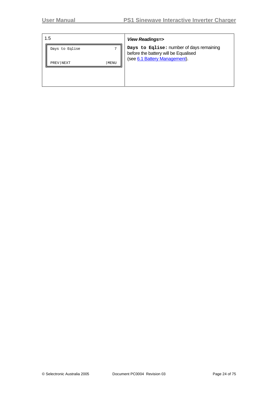| 1.5               |                | View Readings=>                                                                                                   |
|-------------------|----------------|-------------------------------------------------------------------------------------------------------------------|
| Days to Eqlise    | $\overline{ }$ | Days to Eqlise: number of days remaining<br>before the battery will be Equalised<br>(see 6.1 Battery Management). |
| PREV NEXT<br>MENU |                |                                                                                                                   |
|                   |                |                                                                                                                   |
|                   |                |                                                                                                                   |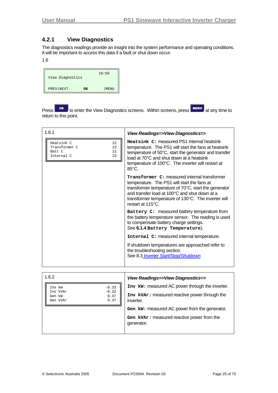#### <span id="page-24-1"></span><span id="page-24-0"></span>**4.2.1 View Diagnostics**

The diagnostics readings provide an insight into the system performance and operating conditions. It will be important to access this data if a fault or shut down occur.

#### 1.6

| View Diagnostics |    | 16:59 |
|------------------|----|-------|
| PREV NEXT        | ΩK | MENU  |

Press **The Studies of Studies of the View Diagnostics screens. Within screens, press MENU at any time to Press at any time to** return to this point.

| 1.6.1                                                                       | View Readings=>View Diagnostics=>                                                                                                                                                                                                                                                |
|-----------------------------------------------------------------------------|----------------------------------------------------------------------------------------------------------------------------------------------------------------------------------------------------------------------------------------------------------------------------------|
| Heatsink C<br>22<br>Transformer C<br>22<br>21<br>Batt C<br>Internal C<br>22 | Heatsink C: measured PS1 internal heatsink<br>temperature. The PS1 will start the fans at heatsink<br>temperature of 50°C, start the generator and transfer<br>load at 70°C and shut down at a heatsink<br>temperature of 100°C. The inverter will restart at<br>$85^{\circ}$ C. |
|                                                                             | Transformer C: measured internal transformer<br>temperature. The PS1 will start the fans at<br>transformer temperature of 70°C, start the generator<br>and transfer load at 100°C and shut down at a<br>transformer temperature of 130°C. The inverter will<br>restart at 115°C. |
|                                                                             | Battery C: measured battery temperature from<br>the battery temperature sensor. The reading is used<br>to compensate battery charge settings.<br>See 6.1.4 Battery Temperature).                                                                                                 |
|                                                                             | Internal C: measured internal temperature.<br>If shutdown temperatures are approached refer to<br>the troubleshooting section.<br>See 8.3 Inverter Start/Stop/Shutdown                                                                                                           |

| 1.6.2                                                     | View Readings=>View Diagnostics=>                          |
|-----------------------------------------------------------|------------------------------------------------------------|
| $-0.33$<br>Inv kW                                         | Inv kw: measured AC power through the inverter.            |
| $-0.32$<br>Inv kVAr<br>0.47<br>Gen kW<br>0.37<br>Gen kVAr | Inv kVAr: measured reactive power through the<br>inverter. |
|                                                           | Gen kw: measured AC power from the generator.              |
|                                                           | Gen kVAr: measured reactive power from the<br>generator.   |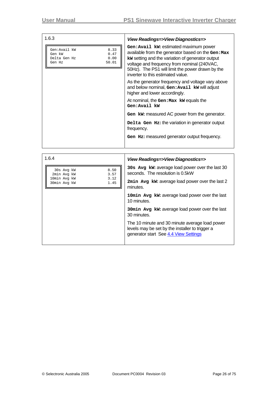| 1.6.3                                                                             | View Readings=>View Diagnostics=>                                                                                                                                                                                                                                                        |
|-----------------------------------------------------------------------------------|------------------------------------------------------------------------------------------------------------------------------------------------------------------------------------------------------------------------------------------------------------------------------------------|
| Gen:Avail kW<br>8.33<br>0.47<br>Gen kW<br>0.00<br>Delta Gen Hz<br>50.01<br>Gen Hz | Gen: Avail kw: estimated maximum power<br>available from the generator based on the Gen: Max<br>kw setting and the variation of generator output<br>voltage and frequency from nominal (240VAC,<br>50Hz). The PS1 will limit the power drawn by the<br>inverter to this estimated value. |
|                                                                                   | As the generator frequency and voltage vary above<br>and below nominal, Gen: Avail kw will adjust<br>higher and lower accordingly.                                                                                                                                                       |
|                                                                                   | At nominal, the Gen: Max kw equals the<br>Gen:Avail kW                                                                                                                                                                                                                                   |
|                                                                                   | Gen kw: measured AC power from the generator.                                                                                                                                                                                                                                            |
|                                                                                   | Delta Gen Hz: the variation in generator output<br>frequency.                                                                                                                                                                                                                            |
|                                                                                   | Gen Hz: measured generator output frequency.                                                                                                                                                                                                                                             |
|                                                                                   |                                                                                                                                                                                                                                                                                          |
| 1 G A                                                                             | 1/2<br>-15-                                                                                                                                                                                                                                                                              |

| 1.6.4                                        | View Readings=>View Diagnostics=>                                                                                                          |
|----------------------------------------------|--------------------------------------------------------------------------------------------------------------------------------------------|
| 8.50<br>30s Avg kW<br>3.57<br>2min Avg kW    | 30s Avg kw: average load power over the last 30<br>seconds. The resolution is 0.5kW                                                        |
| 3.12<br>10min Avq kW<br>1.45<br>30min Avg kW | 2min Avg kw: average load power over the last 2<br>minutes.                                                                                |
|                                              | 10min Avg kw: average load power over the last<br>10 minutes.                                                                              |
|                                              | 30min Avg kw: average load power over the last<br>30 minutes.                                                                              |
|                                              | The 10 minute and 30 minute average load power<br>levels may be set by the installer to trigger a<br>generator start See 4.4 View Settings |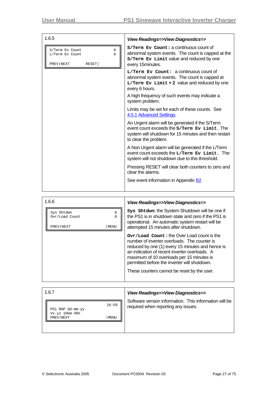| 1.6.5                                                                                  | View Readings=>View Diagnostics=>                                                                                                                                                |
|----------------------------------------------------------------------------------------|----------------------------------------------------------------------------------------------------------------------------------------------------------------------------------|
| S/Term Ev Count<br>0<br>$\Omega$<br>L/Term Ev Count<br>PREV NEXT<br>RESET <sup> </sup> | S/Term Ev Count: a continuous count of<br>abnormal system events. The count is capped at the<br>S/Term Ev Limit value and reduced by one<br>every 15minutes.                     |
|                                                                                        | $L/Term$ Ev Count: a continuous count of<br>abnormal system events. The count is capped at<br>$L/Term$ Ev Limit + 2 value and reduced by one<br>every 6 hours.                   |
|                                                                                        | A high frequency of such events may indicate a<br>system problem.                                                                                                                |
|                                                                                        | Limits may be set for each of these counts. See<br>4.5.1 Advanced Settings.                                                                                                      |
|                                                                                        | An Urgent alarm will be generated if the S/Term<br>event count exceeds the s/Term Ev Limit. The<br>system will shutdown for 15 minutes and then restart<br>to clear the problem. |
|                                                                                        | A Non Urgent alarm will be generated if the L/Term<br>event count exceeds the L/Term Ev Limit. The<br>system will not shutdown due to this threshold.                            |
|                                                                                        | Pressing RESET will clear both counters to zero and<br>clear the alarms                                                                                                          |
|                                                                                        | See event information in Appendix <b>B2</b> .                                                                                                                                    |

| 1.6.6                                                                     | View Readings=>View Diagnostics=>                                                                                                                                                                                                                                                                                                           |
|---------------------------------------------------------------------------|---------------------------------------------------------------------------------------------------------------------------------------------------------------------------------------------------------------------------------------------------------------------------------------------------------------------------------------------|
| $\Omega$<br>Sys Shtdwn<br>Ovr/Load Count<br>$\Omega$<br>PREV NEXT<br>MENU | Sys Shtdwn: the System Shutdown will be one if<br>the PS1 is in shutdown state and zero if the PS1 is<br>operational. An automatic system restart will be<br>attempted 15 minutes after shutdown.                                                                                                                                           |
|                                                                           | Ovr/Load Count: the Over Load count is the<br>number of inverter overloads. The counter is<br>reduced by one (1) every 15 minutes and hence is<br>an indication of recent inverter overloads. A<br>maximum of 10 overloads per 15 minutes is<br>permitted before the inverter will shutdown.<br>These counters cannot be reset by the user. |

| 1.6.7                                                                   | View Readings=>View Diagnostics=>                                                             |
|-------------------------------------------------------------------------|-----------------------------------------------------------------------------------------------|
| 16:59<br>PS1 RAP dd-mm-yy<br>Vx.yz 10kW 48V<br>PREV NEXT<br><b>MENU</b> | Software version information. This information will be<br>required when reporting any issues. |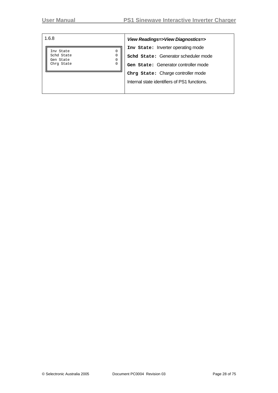|  | ×<br>×<br>۰.<br>۰. |
|--|--------------------|
|--|--------------------|

Inv State 0<br>
Schd State 0<br>
Gen State 0<br>
Chrg State 0<br>
0 Schd State Gen State Chrg State

#### 1.6.8 *View Readings=>View Diagnostics=>*

**Inv State:** Inverter operating mode **Schd State:** Generator scheduler mode **Gen State:** Generator controller mode **Chrg State:** Charge controller mode Internal state identifiers of PS1 functions.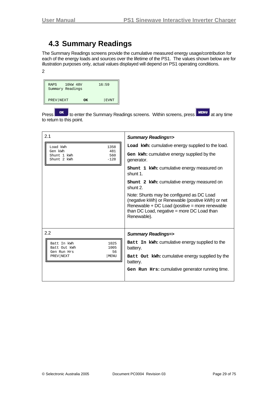### <span id="page-28-0"></span>**4.3 Summary Readings**

<span id="page-28-1"></span>The Summary Readings screens provide the cumulative measured energy usage/contribution for each of the energy loads and sources over the lifetime of the PS1. The values shown below are for illustration purposes only, actual values displayed will depend on PS1 operating conditions. 2

| RAPS<br>Summary Readings | 10kW 48V |    | 16:59       |
|--------------------------|----------|----|-------------|
| PREV NEXT                |          | OK | <b>EVNT</b> |

Press or to enter the Summary Readings screens. Within screens, press **MENU** at any time to return to this point.

| 2.1                                                              | <b>Summary Readings=&gt;</b>                                                                                                                                                                                  |
|------------------------------------------------------------------|---------------------------------------------------------------------------------------------------------------------------------------------------------------------------------------------------------------|
| Load kWh<br>1358                                                 | Load kWh: cumulative energy supplied to the load.                                                                                                                                                             |
| Gen kWh<br>481<br>560<br>Shunt 1 kWh<br>Shunt 2 kWh<br>$-128$    | Gen kwh: cumulative energy supplied by the<br>generator.                                                                                                                                                      |
|                                                                  | shunt 1 kwh: cumulative energy measured on<br>shunt 1.                                                                                                                                                        |
|                                                                  | shunt 2 kwh: cumulative energy measured on<br>shunt 2.                                                                                                                                                        |
|                                                                  | Note: Shunts may be configured as DC Load<br>(negative kWh) or Renewable (positive kWh) or net<br>Renewable + DC Load (positive = more renewable<br>than DC Load, negative = more DC Load than<br>Renewable). |
| 2.2                                                              | <b>Summary Readings=&gt;</b>                                                                                                                                                                                  |
| 1025<br>Batt In kWh<br>Batt Out kWh<br>1005<br>56<br>Gen Run Hrs | Batt In kWh: cumulative energy supplied to the<br>battery.                                                                                                                                                    |
| PREV NEXT<br>MENU                                                | Batt Out kwh: cumulative energy supplied by the<br>battery.                                                                                                                                                   |
|                                                                  | Gen Run Hrs: cumulative generator running time.                                                                                                                                                               |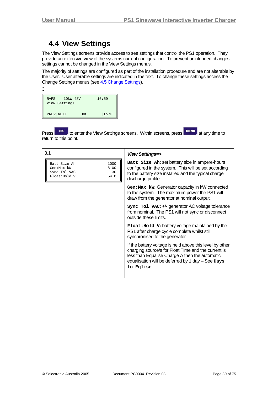### <span id="page-29-0"></span>**4.4 View Settings**

<span id="page-29-1"></span>The View Settings screens provide access to see settings that control the PS1 operation. They provide an extensive view of the systems current configuration. To prevent unintended changes, settings cannot be changed in the View Settings menus.

The majority of settings are configured as part of the installation procedure and are not alterable by the User. User alterable settings are indicated in the text. To change these settings access the Change Settings menus (see [4.5](#page-34-1) [Change Settings\)](#page-34-1).

| 3                              |    |             |
|--------------------------------|----|-------------|
| RAPS 10kW 48V<br>View Settings |    | 16:59       |
| PREV NEXT                      | OK | <b>EVNT</b> |

Press **OK** to enter the View Settings screens. Within screens, press **MENU** at any time to return to this point.

| 3.1                                                                                       | <b>View Settings=&gt;</b>                                                                                                                                                                                                              |
|-------------------------------------------------------------------------------------------|----------------------------------------------------------------------------------------------------------------------------------------------------------------------------------------------------------------------------------------|
| 1000<br>Batt Size Ah<br>8.00<br>Gen:Max kW<br>Sync Tol VAC<br>30<br>54.0<br>Float: Hold V | Batt Size Ah: set battery size in ampere-hours<br>configured in the system. This will be set according<br>to the battery size installed and the typical charge<br>discharge profile.                                                   |
|                                                                                           | Gen: Max kW: Generator capacity in kW connected<br>to the system. The maximum power the PS1 will<br>draw from the generator at nominal output.                                                                                         |
|                                                                                           | sync To1 VAC: +/- generator AC voltage tolerance<br>from nominal. The PS1 will not sync or disconnect<br>outside these limits.                                                                                                         |
|                                                                                           | <b>Float: Hold V: battery voltage maintained by the</b><br>PS1 after charge cycle complete whilst still<br>synchronised to the generator.                                                                                              |
|                                                                                           | If the battery voltage is held above this level by other<br>charging source/s for Float Time and the current is<br>less than Equalise Charge A then the automatic<br>equalisation will be deferred by 1 day $-$ See Days<br>to Eqlise. |
|                                                                                           |                                                                                                                                                                                                                                        |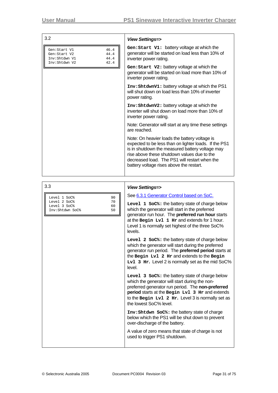| Gen: Start V1: battery voltage at which the<br>46.4<br>Gen:Start V1<br>generator will be started on load less than 10% of<br>44.4<br>Gen:Start V2<br>44.4<br>inverter power rating.<br>Inv:Shtdwn V1<br>Inv:Shtdwn V2<br>42.4<br>Gen: Start V2: battery voltage at which the<br>generator will be started on load more than 10% of<br>inverter power rating.<br>Inv: ShtdwnV1: battery voltage at which the PS1<br>will shut down on load less than 10% of inverter<br>power rating.<br>Inv: ShtdwnV2: battery voltage at which the<br>inverter will shut down on load more than 10% of<br>inverter power rating.<br>Note: Generator will start at any time these settings<br>are reached.<br>Note: On heavier loads the battery voltage is<br>expected to be less than on lighter loads. If the PS1<br>is in shutdown the measured battery voltage may<br>rise above these shutdown values due to the<br>decreased load. The PS1 will restart when the<br>battery voltage rises above the restart. | 3.2 | <b>View Settings=&gt;</b> |
|-----------------------------------------------------------------------------------------------------------------------------------------------------------------------------------------------------------------------------------------------------------------------------------------------------------------------------------------------------------------------------------------------------------------------------------------------------------------------------------------------------------------------------------------------------------------------------------------------------------------------------------------------------------------------------------------------------------------------------------------------------------------------------------------------------------------------------------------------------------------------------------------------------------------------------------------------------------------------------------------------------|-----|---------------------------|
|                                                                                                                                                                                                                                                                                                                                                                                                                                                                                                                                                                                                                                                                                                                                                                                                                                                                                                                                                                                                     |     |                           |
|                                                                                                                                                                                                                                                                                                                                                                                                                                                                                                                                                                                                                                                                                                                                                                                                                                                                                                                                                                                                     |     |                           |
|                                                                                                                                                                                                                                                                                                                                                                                                                                                                                                                                                                                                                                                                                                                                                                                                                                                                                                                                                                                                     |     |                           |
|                                                                                                                                                                                                                                                                                                                                                                                                                                                                                                                                                                                                                                                                                                                                                                                                                                                                                                                                                                                                     |     |                           |
|                                                                                                                                                                                                                                                                                                                                                                                                                                                                                                                                                                                                                                                                                                                                                                                                                                                                                                                                                                                                     |     |                           |
|                                                                                                                                                                                                                                                                                                                                                                                                                                                                                                                                                                                                                                                                                                                                                                                                                                                                                                                                                                                                     |     |                           |
|                                                                                                                                                                                                                                                                                                                                                                                                                                                                                                                                                                                                                                                                                                                                                                                                                                                                                                                                                                                                     |     |                           |

| Level 1 SoC%    | 90 |
|-----------------|----|
| Level 2 SoC%    | 70 |
| Level 3 SoC%    | 60 |
| Inv:Shtdwn SoC% | 50 |
|                 |    |

#### 3.3 *View Settings=>*

See [6.3.1](#page-51-1) [Generator Control based on SoC](#page-51-1).

**Level 1 SoC%:** the battery state of charge below which the generator will start in the preferred generator run hour. The **preferred run hour** starts at the **Begin Lvl 1 Hr** and extends for 1 hour. Level 1 is normally set highest of the three SoC% levels.

**Level 2 SoC%:** the battery state of charge below which the generator will start during the preferred generator run period. The **preferred period** starts at the **Begin Lvl 2 Hr** and extends to the **Begin**  Lv1 3 Hr. Level 2 is normally set as the mid SoC% level.

**Level 3 SoC%:** the battery state of charge below which the generator will start during the nonpreferred generator run period. The **non-preferred period** starts at the **Begin Lvl 3 Hr** and extends to the **Begin Lvl 2 Hr.** Level 3 is normally set as the lowest SoC% level.

**Inv:Shtdwn SoC%:** the battery state of charge below which the PS1 will be shut down to prevent over-discharge of the battery.

A value of zero means that state of charge is not used to trigger PS1 shutdown.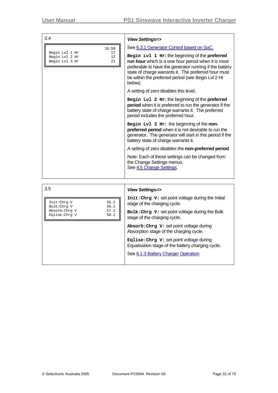| 3.4                                                                           |                                                                                                                                                                                                                                                                                                                                                                                                                                                                                                                                                                                                                                                                                                                                                                                                                                                                                                                                                                             |
|-------------------------------------------------------------------------------|-----------------------------------------------------------------------------------------------------------------------------------------------------------------------------------------------------------------------------------------------------------------------------------------------------------------------------------------------------------------------------------------------------------------------------------------------------------------------------------------------------------------------------------------------------------------------------------------------------------------------------------------------------------------------------------------------------------------------------------------------------------------------------------------------------------------------------------------------------------------------------------------------------------------------------------------------------------------------------|
| 16:59<br>Begin Lvl 1 Hr<br>17<br>Begin Lvl 2 Hr<br>12<br>Begin Lvl 3 Hr<br>21 | <b>View Settings=&gt;</b><br>See 6.3.1 Generator Control based on SoC.<br>Begin Lv1 1 Hr: the beginning of the preferred<br>run hour which is a one hour period when it is most<br>preferable to have the generator running if the battery<br>state of charge warrants it. The preferred hour must<br>be within the preferred period (see Begin Lvl 2 Hr<br>below).<br>A setting of zero disables this level.<br>Begin Lv1 2 Hr: the beginning of the preferred<br>period when it is preferred to run the generator if the<br>battery state of charge warrants it. The preferred<br>period includes the preferred hour.<br>Begin Lv1 3 Hr: the beginning of the non-<br>preferred period when it is not desirable to run the<br>generator. The generator will start in this period if the<br>battery state of charge warrants it.<br>A setting of zero disables the non-preferred period.<br>Note: Each of these settings can be changed from<br>the Change Settings menus. |
|                                                                               | See 4.5 Change Settings                                                                                                                                                                                                                                                                                                                                                                                                                                                                                                                                                                                                                                                                                                                                                                                                                                                                                                                                                     |
|                                                                               |                                                                                                                                                                                                                                                                                                                                                                                                                                                                                                                                                                                                                                                                                                                                                                                                                                                                                                                                                                             |

| 3.5                                                                                           | <b>View Settings=&gt;</b>                                                                                                                                                                                                                                                                                                                                                                                |
|-----------------------------------------------------------------------------------------------|----------------------------------------------------------------------------------------------------------------------------------------------------------------------------------------------------------------------------------------------------------------------------------------------------------------------------------------------------------------------------------------------------------|
| 55.2<br>Init:Chrq V<br>56.1<br>Bulk:Chrq V<br>Absorb: Chrq V<br>57.2<br>Eqlise:Chrq V<br>58.1 | Init: Chrg V: set point voltage during the Initial<br>stage of the charging cycle.<br>$Bulk: Chrg \ V: set point voltage during the Bulk$<br>stage of the charging cycle.<br>Absorb: Chrg V: set point voltage during<br>Absorption stage of the charging cycle.<br>Eqlise: Chrg V: set point voltage during<br>Equalisation stage of the battery charging cycle.<br>See 6.1.3 Battery Charger Operation |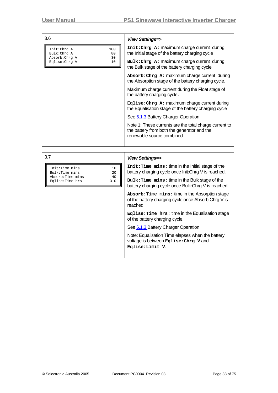| 3.6                                                             | <b>View Settings=&gt;</b>                                                                                                           |
|-----------------------------------------------------------------|-------------------------------------------------------------------------------------------------------------------------------------|
| 100<br>Init:Chrg A<br>Bulk:Chrg A<br>80<br>Absorb: Chrg A<br>30 | Init: Chrg A: maximum charge current during<br>the Initial stage of the battery charging cycle                                      |
| Eqlise: Chrg A<br>10                                            | Bulk: Chrg A: maximum charge current during<br>the Bulk stage of the battery charging cycle                                         |
|                                                                 | Absorb: Chrg A: maximum charge current during<br>the Absorption stage of the battery charging cycle.                                |
|                                                                 | Maximum charge current during the Float stage of<br>the battery charging cycle.                                                     |
|                                                                 | Eqlise: Chrg A: maximum charge current during<br>the Equalisation stage of the battery charging cycle                               |
|                                                                 | See 6.1.3 Battery Charger Operation                                                                                                 |
|                                                                 | Note 1: These currents are the total charge current to<br>the battery from both the generator and the<br>renewable source combined. |
|                                                                 |                                                                                                                                     |

| <b>View Settings=&gt;</b>                                                                                           |
|---------------------------------------------------------------------------------------------------------------------|
| Init: Time mins: time in the Initial stage of the<br>battery charging cycle once Init: Chrg V is reached.           |
| Bulk: Time mins: time in the Bulk stage of the<br>battery charging cycle once Bulk: Chrg V is reached.              |
| Absorb: Time mins: time in the Absorption stage<br>of the battery charging cycle once Absorb: Chrg V is<br>reached. |
| Eqlise: Time hrs: time in the Equalisation stage<br>of the battery charging cycle.                                  |
| See 6.1.3 Battery Charger Operation                                                                                 |
| Note: Equalisation Time elapses when the battery<br>voltage is between Eqlise: Chrg V and<br>Eqlise:Limit V.        |
|                                                                                                                     |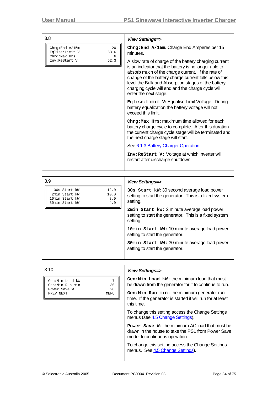| 3.8                                                                              | <b>View Settings=&gt;</b>                                                                                                                                                                                                                                                                                                                                         |
|----------------------------------------------------------------------------------|-------------------------------------------------------------------------------------------------------------------------------------------------------------------------------------------------------------------------------------------------------------------------------------------------------------------------------------------------------------------|
| Chrg: End A/15m<br>$20^{\circ}$<br>Eqlise: Limit V<br>63.6<br>Chrq: Max Hrs<br>6 | $Chrg: End A/15m: Charge End Amperes per 15$<br>minutes.                                                                                                                                                                                                                                                                                                          |
| Inv:ReStart V<br>52.3                                                            | A slow rate of charge of the battery charging current<br>is an indicator that the battery is no longer able to<br>absorb much of the charge current. If the rate of<br>change of the battery charge current falls below this<br>level the Bulk and Absorption stages of the battery<br>charging cycle will end and the charge cycle will<br>enter the next stage. |
|                                                                                  | Eqlise: Limit V: Equalise Limit Voltage. During<br>battery equalization the battery voltage will not<br>exceed this limit.                                                                                                                                                                                                                                        |
|                                                                                  | Chrg: Max Hrs: maximum time allowed for each<br>battery charge cycle to complete. After this duration<br>the current charge cycle stage will be terminated and<br>the next charge stage will start.                                                                                                                                                               |
|                                                                                  | See 6.1.3 Battery Charger Operation                                                                                                                                                                                                                                                                                                                               |
|                                                                                  | Inv: Restart V: Voltage at which inverter will<br>restart after discharge shutdown.                                                                                                                                                                                                                                                                               |

| 3.9                                                                                             | <b>View Settings=&gt;</b>                                                                                        |
|-------------------------------------------------------------------------------------------------|------------------------------------------------------------------------------------------------------------------|
| 12.0<br>30s Start kW<br>10.0<br>2min Start kW<br>8.0<br>10min Start kW<br>4.0<br>30min Start kW | 30s Start kw: 30 second average load power<br>setting to start the generator. This is a fixed system<br>setting. |
|                                                                                                 | 2min Start kw: 2 minute average load power<br>setting to start the generator. This is a fixed system<br>setting. |
|                                                                                                 | 10min Start kw: 10 minute average load power<br>setting to start the generator.                                  |
|                                                                                                 | 30 min Start kw: 30 minute average load power<br>setting to start the generator.                                 |
|                                                                                                 |                                                                                                                  |

| 3.10                                                                                             | <b>View Settings=&gt;</b>                                                                                                                                                                                                                                                                                                      |
|--------------------------------------------------------------------------------------------------|--------------------------------------------------------------------------------------------------------------------------------------------------------------------------------------------------------------------------------------------------------------------------------------------------------------------------------|
| 7<br>Gen:Min Load kW<br>30<br>Gen:Min Run min<br>2.0<br>Power Save W<br>PREV NEXT<br><b>MENU</b> | $Gen: Min$ Load $kw:$ the minimum load that must<br>be drawn from the generator for it to continue to run.<br>Gen: Min Run min: the minimum generator run<br>time. If the generator is started it will run for at least<br>this time.<br>To change this setting access the Change Settings<br>menus (see 4.5 Change Settings). |
|                                                                                                  | <b>Power</b> Save W: the minimum AC load that must be<br>drawn in the house to take the PS1 from Power Save<br>mode to continuous operation.<br>To change this setting access the Change Settings<br>menus. See 4.5 Change Settings).                                                                                          |
|                                                                                                  |                                                                                                                                                                                                                                                                                                                                |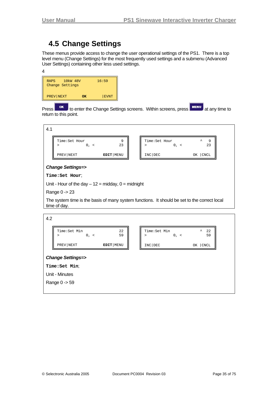### <span id="page-34-0"></span>**4.5 Change Settings**

<span id="page-34-1"></span>These menus provide access to change the user operational settings of the PS1. There is a top level menu (Change Settings) for the most frequently used settings and a submenu (Advanced User Settings) containing other less used settings.



Press **OK** to enter the Change Settings screens. Within screens, press **MENU** at any time to return to this point.



time of day.

| 4.2                         |                                         |             |  |                         |           |                                 |  |
|-----------------------------|-----------------------------------------|-------------|--|-------------------------|-----------|---------------------------------|--|
|                             | Time: Set Min<br>$0, \leq$<br>$\, > \,$ | 22<br>59    |  | Time: Set Min<br>$\geq$ | $0, \leq$ | $\hat{\phantom{a}}$<br>22<br>59 |  |
|                             | PREV NEXT                               | EDIT   MENU |  | INC DEC                 |           | OK   CNCL                       |  |
| <b>Change Settings=&gt;</b> |                                         |             |  |                         |           |                                 |  |
|                             | Time: Set Min;                          |             |  |                         |           |                                 |  |
|                             | Unit - Minutes                          |             |  |                         |           |                                 |  |
|                             | Range 0 -> 59                           |             |  |                         |           |                                 |  |
|                             |                                         |             |  |                         |           |                                 |  |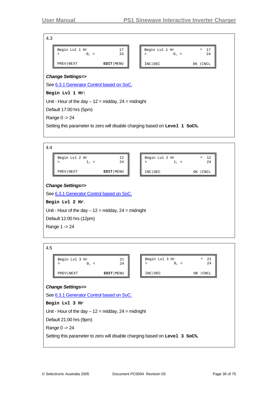| 4.3                                       |             |                                  |                                 |  |  |  |  |
|-------------------------------------------|-------------|----------------------------------|---------------------------------|--|--|--|--|
| Begin Lvl 1 Hr<br>$0, \leq$<br>↘          | 17<br>24    | Begin Lvl 1 Hr<br>$0, \leq$<br>↘ | $\hat{\phantom{a}}$<br>17<br>24 |  |  |  |  |
| PREV NEXT                                 | EDIT   MENU | INC DEC                          | OK CNCL                         |  |  |  |  |
| <b>Change Settings=&gt;</b>               |             |                                  |                                 |  |  |  |  |
| See 6.3.1 Generator Control based on SoC. |             |                                  |                                 |  |  |  |  |
| Begin Lvl 1 Hr:                           |             |                                  |                                 |  |  |  |  |

Unit - Hour of the day  $-12$  = midday,  $24$  = midnight

Default 17:00 hrs (5pm)

Range 0 -> 24

Setting this parameter to zero will disable charging based on **Level 1 SoC%.**

4.4 Begin Lvl 2 Hr 12 Begin Lvl 2 Hr  $12$ <br>>  $1, 3$ <br>24

| Begin Lvl 2 Hr | 12<br>24  | Begin Lvl 2 Hr | ᄉ<br>24           |
|----------------|-----------|----------------|-------------------|
| PREV   NEXT    | EDIT MENU | INC DEC        | <b>CNCL</b><br>OΚ |

#### *Change Settings=>*

See [6.3.1](#page-51-1) [Generator Control based on SoC.](#page-51-1)

**Begin Lvl 2 Hr**.

Unit - Hour of the day  $-12$  = midday,  $24$  = midnight

Default 12:00 hrs (12pm)

Range 1 -> 24

4.5

| Begin Lvl 3 Hr | 24        | Begin Lvl 3 Hr | ㅅ          |
|----------------|-----------|----------------|------------|
| PREV NEXT      | EDIT MENU | INC DEC        | CNCL<br>OΚ |

#### *Change Settings=>*

See [6.3.1](#page-51-1) [Generator Control based on SoC.](#page-51-1)

**Begin Lvl 3 Hr**

Unit - Hour of the day  $-12$  = midday,  $24$  = midnight

Default 21:00 hrs (9pm)

Range 0 -> 24

Setting this parameter to zero will disable charging based on **Level 3 SoC%.**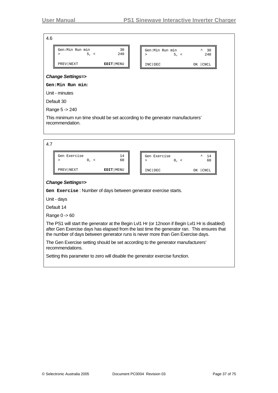r

| 4.6 |                                    |             |                                                                               |
|-----|------------------------------------|-------------|-------------------------------------------------------------------------------|
|     | Gen: Min Run min<br>5, <<br>$\geq$ | 30<br>240   | Gen:Min Run min<br>30<br>$\hat{\phantom{a}}$<br>240<br>5, <<br>$\geq$         |
|     | PREV NEXT                          | EDIT   MENU | INC DEC<br>OK   CNCL                                                          |
|     | <b>Change Settings=&gt;</b>        |             |                                                                               |
|     | Gen:Min Run min:                   |             |                                                                               |
|     | Unit - minutes                     |             |                                                                               |
|     | Default 30                         |             |                                                                               |
|     | Range 5 -> 240                     |             |                                                                               |
|     | recommendation.                    |             | This minimum run time should be set according to the generator manufacturers' |

| 4.7 |                                |             |                                                                                                                                                                                                                                                                                  |  |  |
|-----|--------------------------------|-------------|----------------------------------------------------------------------------------------------------------------------------------------------------------------------------------------------------------------------------------------------------------------------------------|--|--|
|     | Gen Exercise<br>$0, \leq$<br>⋗ | 14<br>60    | Gen Exercise<br>14<br>60<br>$0, \leq$<br>⋗                                                                                                                                                                                                                                       |  |  |
|     | PREV NEXT                      | EDIT   MENU | INC DEC<br>OK   CNCL                                                                                                                                                                                                                                                             |  |  |
|     | <b>Change Settings=&gt;</b>    |             |                                                                                                                                                                                                                                                                                  |  |  |
|     |                                |             | Gen Exercise: Number of days between generator exercise starts.                                                                                                                                                                                                                  |  |  |
|     | Unit - days                    |             |                                                                                                                                                                                                                                                                                  |  |  |
|     | Default 14                     |             |                                                                                                                                                                                                                                                                                  |  |  |
|     | Range $0 \rightarrow 60$       |             |                                                                                                                                                                                                                                                                                  |  |  |
|     |                                |             | The PS1 will start the generator at the Begin Lvl1 Hr (or 12noon if Begin Lvl1 Hr is disabled)<br>after Gen Exercise days has elapsed from the last time the generator ran. This ensures that<br>the number of days between generator runs is never more than Gen Exercise days. |  |  |

The Gen Exercise setting should be set according to the generator manufacturers' recommendations.

Setting this parameter to zero will disable the generator exercise function.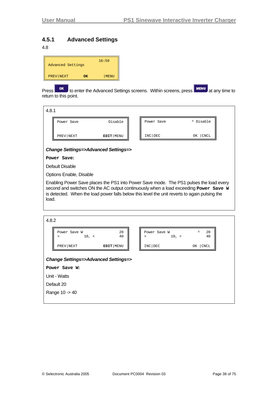### <span id="page-37-0"></span>**4.5.1 Advanced Settings**

#### 4.8

| Advanced Settings |    | 16:59       |
|-------------------|----|-------------|
| PREV NEXT         | OK | <b>MENU</b> |

Press **or** to enter the Advanced Settings screens. Within screens, press **MENU** at any time to return to this point.

| Power Save<br>Disable<br>Power Save | ^ Disable  |
|-------------------------------------|------------|
| INC DEC<br>EDIT   MENU<br>PREV NEXT | CNCL<br>ΟК |

#### *Change Settings=>Advanced Settings=>*

#### **Power Save:**

Default Disable

Options Enable, Disable

Enabling Power Save places the PS1 into Power Save mode. The PS1 pulses the load every second and switches ON the AC output continuously when a load exceeding **Power** Save W is detected. When the load power falls below this level the unit reverts to again pulsing the load.

| ۰, |  |
|----|--|

| Power Save W<br>10, <<br>>                        | 20<br>40    | Power Save W<br>10, <<br>⋗ | $\hat{\phantom{a}}$<br>20<br>40 |
|---------------------------------------------------|-------------|----------------------------|---------------------------------|
| PREV NEXT                                         | EDIT   MENU | INC DEC                    | <b>CNCL</b><br>OK               |
| <b>Change Settings=&gt;Advanced Settings=&gt;</b> |             |                            |                                 |
| Power Save W:                                     |             |                            |                                 |
| Unit - Watts                                      |             |                            |                                 |
| Default 20                                        |             |                            |                                 |

Range 10 -> 40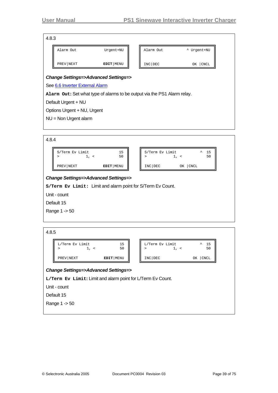### 4.8.3

| ⊶.ט.                                                                     |           |             |  |           |             |  |
|--------------------------------------------------------------------------|-----------|-------------|--|-----------|-------------|--|
|                                                                          | Alarm Out | Urgent+NU   |  | Alarm Out | * Urgent+NU |  |
|                                                                          | PREV NEXT | EDIT   MENU |  | INC DEC   | OΚ<br>CNCL  |  |
| <b>Change Settings=&gt;Advanced Settings=&gt;</b>                        |           |             |  |           |             |  |
| See 6.6 Inverter External Alarm                                          |           |             |  |           |             |  |
| Alarm Out: Set what type of alarms to be output via the PS1 Alarm relay. |           |             |  |           |             |  |

Default Urgent + NU

Options Urgent + NU, Urgent

NU = Non Urgent alarm

| 4.8.4                                                                                                            |                                        |           |  |                           |           |               |  |
|------------------------------------------------------------------------------------------------------------------|----------------------------------------|-----------|--|---------------------------|-----------|---------------|--|
|                                                                                                                  | S/Term Ev Limit<br>$1, \leq$<br>$\geq$ | 15<br>50  |  | S/Term Ev Limit<br>$\geq$ | $1, \leq$ | 15<br>ᄾ<br>50 |  |
|                                                                                                                  | PREV NEXT                              | EDIT MENU |  | INC DEC                   | OK   CNCL |               |  |
| <b>Change Settings=&gt;Advanced Settings=&gt;</b><br>s/Term Ev Limit: Limit and alarm point for S/Term Ev Count. |                                        |           |  |                           |           |               |  |
|                                                                                                                  | Unit - count                           |           |  |                           |           |               |  |
|                                                                                                                  | Default 15                             |           |  |                           |           |               |  |
|                                                                                                                  | Range 1 -> 50                          |           |  |                           |           |               |  |
|                                                                                                                  |                                        |           |  |                           |           |               |  |

| ۰.<br>۰,<br>۰.<br>×<br>× |
|--------------------------|
|--------------------------|

| L/Term Ev Limit | 15        | L/Term Ev Limit |    | ᄉ<br>15     |
|-----------------|-----------|-----------------|----|-------------|
|                 | 50        |                 |    | 50          |
|                 |           |                 |    |             |
| PREV NEXT       | EDIT MENU | INC DEC         | ΟK | <b>CNCI</b> |
|                 |           |                 |    |             |

### *Change Settings=>Advanced Settings=>*

**L/Term Ev Limit:** Limit and alarm point for L/Term Ev Count.

Unit - count

Default 15

Range 1 -> 50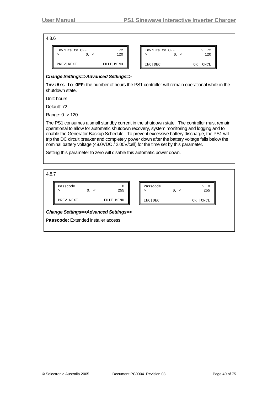4.8.6

| Inv:Hrs to OFF | 72          |
|----------------|-------------|
| $\prec$        | 120         |
| PREV NEXT      | EDIT   MENU |

| Inv:Hrs to OFF | ᄾ<br>- 72 |
|----------------|-----------|
| $\prec$        | 120       |
|                |           |
| INC DEC        | OK   CNCL |

#### *Change Settings=>Advanced Settings=>*

**Inv:Hrs to OFF:** the number of hours the PS1 controller will remain operational while in the shutdown state.

Unit: hours

Default: 72

Range: 0 -> 120

The PS1 consumes a small standby current in the shutdown state. The controller must remain operational to allow for automatic shutdown recovery, system monitoring and logging and to enable the Generator Backup Schedule. To prevent excessive battery discharge, the PS1 will trip the DC circuit breaker and completely power down after the battery voltage falls below the nominal battery voltage (48.0VDC / 2.00V/cell) for the time set by this parameter.

Setting this parameter to zero will disable this automatic power down.

4.8.7

| Passcode                             | $0, \leq$ | 0<br>255                                          | Passcode<br>⋗ | $0, \leq$ | ᄉ<br>0<br>255 |  |
|--------------------------------------|-----------|---------------------------------------------------|---------------|-----------|---------------|--|
| PREV NEXT                            |           | EDIT MENU                                         | INC DEC       |           | CNCL<br>ΟK    |  |
|                                      |           | <b>Change Settings=&gt;Advanced Settings=&gt;</b> |               |           |               |  |
| Passcode: Extended installer access. |           |                                                   |               |           |               |  |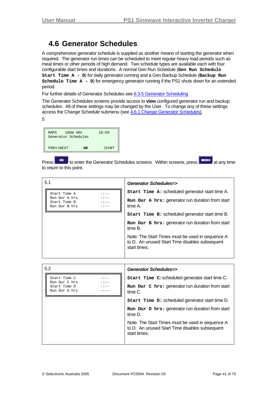### **4.6 Generator Schedules**

<span id="page-40-0"></span>A comprehensive generator schedule is supplied as another means of starting the generator when required. The generator run times can be scheduled to meet regular heavy load periods such as meal times or other periods of high demand. Two schedule types are available each with four configurable start times and durations. A normal Gen Run Schedule (**Gen Run Schedule Start Time A - D**) for daily generator running and a Gen Backup Schedule (**Backup Run Schedule Time A - D**) for emergency generator running if the PS1 shuts down for an extended period.

For further details of Generator Schedules see [6.3.5](#page-55-0) [Generator Scheduling](#page-55-0)

The Generator Schedules screens provide access to **view** configured generator run and backup schedules. All of these settings may be changed by the User. To change any of these settings access the Change Schedule submenu (see [4.6.1](#page-42-0) [Change Generator Schedules](#page-42-0)).

5

| 10 <sub>kW</sub> 48V<br>RAPS<br>Generator Schedules |    | 16:59       |
|-----------------------------------------------------|----|-------------|
| PREV NEXT                                           | ΩK | <b>EVNT</b> |

Press **OK** to enter the Generator Schedules screens. Within screens, press **MENU** at any time to return to this point.

| 5.1                                            |                            | Generator Schedules=>                                                                                              |
|------------------------------------------------|----------------------------|--------------------------------------------------------------------------------------------------------------------|
| Start Time A                                   | $-:--$                     | <b>Start Time A: scheduled generator start time A.</b>                                                             |
| Run Dur A hrs<br>Start Time B<br>Run Dur B hrs | $-:--$<br>$-:--$<br>$-:--$ | Run Dur A hrs: generator run duration from start<br>time A.                                                        |
|                                                |                            | <b>Start Time B: scheduled generator start time B.</b>                                                             |
|                                                |                            | Run Dur B hrs: generator run duration from start<br>time B.                                                        |
|                                                |                            | Note: The Start Times must be used in sequence A<br>to D. An unused Start Time disables subsequent<br>start times. |

| 5.2                                                                 | Generator Schedules=>                                                                                              |
|---------------------------------------------------------------------|--------------------------------------------------------------------------------------------------------------------|
| Start Time C<br>$-:--$<br>$-:--$                                    | Start Time C: scheduled generator start time C.                                                                    |
| Run Dur C hrs<br>$-:-$<br>Start Time D<br>$-1 - -$<br>Run Dur D hrs | Run Dur C hrs: generator run duration from start<br>time C.                                                        |
|                                                                     | Start Time D: scheduled generator start time D.                                                                    |
|                                                                     | Run Dur D hrs: generator run duration from start<br>time D.                                                        |
|                                                                     | Note: The Start Times must be used in sequence A<br>to D. An unused Start Time disables subsequent<br>start times. |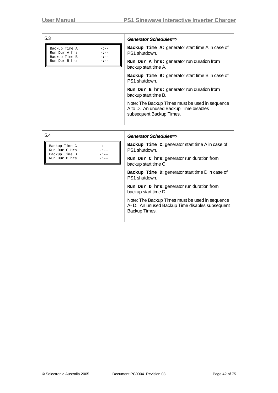| 5.3                                                                                         | <b>Generator Schedules=&gt;</b>                                                                                       |
|---------------------------------------------------------------------------------------------|-----------------------------------------------------------------------------------------------------------------------|
| Backup Time A<br>$-:-$<br>$\equiv 1-\frac{1}{2}$<br>Run Dur A hrs<br>$-:-$<br>Backup Time B | Backup Time A: generator start time A in case of<br>PS1 shutdown.                                                     |
| $-1 - -$<br>Run Dur B hrs                                                                   | Run Dur A hrs: generator run duration from<br>backup start time A.                                                    |
|                                                                                             | Backup Time B: generator start time B in case of<br>PS1 shutdown.                                                     |
|                                                                                             | Run Dur B hrs: generator run duration from<br>backup start time B.                                                    |
|                                                                                             | Note: The Backup Times must be used in sequence<br>A to D. An unused Backup Time disables<br>subsequent Backup Times. |

| 5.4                                                                           | <b>Generator Schedules=&gt;</b>                                                                                     |
|-------------------------------------------------------------------------------|---------------------------------------------------------------------------------------------------------------------|
| Backup Time C<br>$-:--$<br>$-:--$<br>Run Dur C Hrs<br>$-:--$<br>Backup Time D | Backup Time C: generator start time A in case of<br>PS1 shutdown.                                                   |
| Run Dur D hrs<br>- : --                                                       | Run Dur C hrs: generator run duration from<br>backup start time C                                                   |
|                                                                               | Backup Time D: generator start time D in case of<br>PS1 shutdown.                                                   |
|                                                                               | Run Dur D hrs: generator run duration from<br>backup start time D.                                                  |
|                                                                               | Note: The Backup Times must be used in sequence<br>A- D. An unused Backup Time disables subsequent<br>Backup Times. |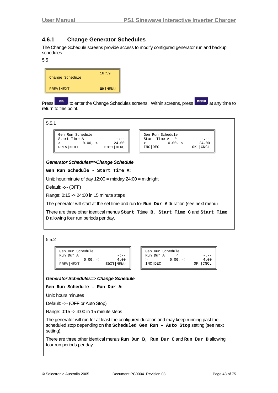### <span id="page-42-0"></span>**4.6.1 Change Generator Schedules**

The Change Schedule screens provide access to modify configured generator run and backup schedules.

5.5



Press **OK** to enter the Change Schedules screens. Within screens, press **MENU** at any time to return to this point.



#### *Generator Schedules=>Change Schedule*

**Gen Run Schedule - Start Time A:**

Unit: hour:minute of day 12:00 = midday 24:00 = midnight

Default: -:-- (OFF)

Range: 0:15 -> 24:00 in 15 minute steps

The generator will start at the set time and run for **Run Dur A** duration (see next menu).

There are three other identical menus **Start Time B, Start Time C** and **Start Time D** allowing four run periods per day.

5.5.2

| Gen Run Schedule |         |             |
|------------------|---------|-------------|
| Run Dur A        |         | $-$ : $ -$  |
|                  | 0.00. < | 4.00        |
| PREV NEXT        |         | EDIT   MENU |

|           | Gen Run Schedule |           |
|-----------|------------------|-----------|
| Run Dur A |                  |           |
|           | $0.00, \le$      | 4.00      |
| INC DEC   |                  | OK   CNCL |

#### *Generator Schedules=> Change Schedule*

**Gen Run Schedule – Run Dur A:**

Unit: hours:minutes

Default: -:-- (OFF or Auto Stop)

Range: 0:15 -> 4:00 in 15 minute steps

The generator will run for at least the configured duration and may keep running past the scheduled stop depending on the **Scheduled Gen Run – Auto Stop** setting (see next setting).

There are three other identical menus **Run Dur B, Run Dur C** and **Run Dur D** allowing four run periods per day.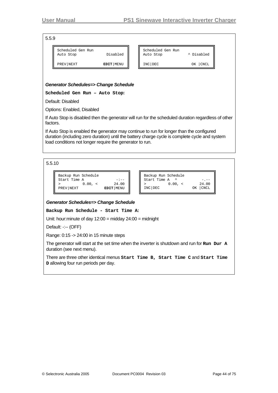5.5.9

| Scheduled Gen Run<br>Auto Stop | Disabled  | Scheduled Gen Run<br>Auto Stop | ^ Disabled  |
|--------------------------------|-----------|--------------------------------|-------------|
| PREV   NEXT                    | EDIT MENU | INC DEC                        | <b>CNCL</b> |

| Scheduled Gen Run<br>Auto Stop | ^ Disabled |
|--------------------------------|------------|
| INC DEC                        | OK CNCL    |

#### *Generator Schedules=> Change Schedule*

**Scheduled Gen Run – Auto Stop:** 

Default: Disabled

Options: Enabled, Disabled

If Auto Stop is disabled then the generator will run for the scheduled duration regardless of other factors.

If Auto Stop is enabled the generator may continue to run for longer than the configured duration (including zero duration) until the battery charge cycle is complete cycle and system load conditions not longer require the generator to run.

5.5.10

| Backup Run Schedule |         |                    |
|---------------------|---------|--------------------|
| Start Time A        |         | $-:--$             |
|                     | 0.00. < | 24.00              |
| PREV NEXT           |         | <b>EDIT</b>   MENU |

| Backup Run Schedule<br>Start Time A |           |
|-------------------------------------|-----------|
| 0.00. <                             | 24.00     |
| INC DEC                             | OK   CNCL |

#### *Generator Schedules=> Change Schedule*

**Backup Run Schedule - Start Time A:** 

Unit: hour:minute of day 12:00 = midday 24:00 = midnight

Default: -:-- (OFF)

Range: 0:15 -> 24:00 in 15 minute steps

The generator will start at the set time when the inverter is shutdown and run for **Run Dur A** duration (see next menu).

There are three other identical menus **Start Time B, Start Time C** and **Start Time D** allowing four run periods per day.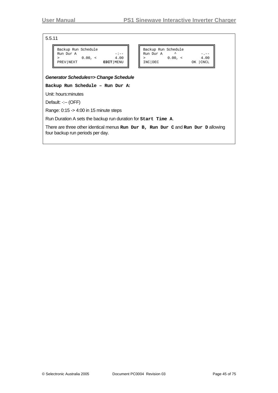5.5.11

| Backup Run Schedule |         |             |      |
|---------------------|---------|-------------|------|
| Run Dur A           | 0.00. < |             | 4.00 |
| PREV NEXT           |         | EDIT   MENU |      |

| Backup Run Schedule |             |           |
|---------------------|-------------|-----------|
| Run Dur A           |             |           |
|                     | $0.00, \le$ | 4.00      |
| INC DEC             |             | OK   CNCL |

#### *Generator Schedules=> Change Schedule*

**Backup Run Schedule – Run Dur A:**

Unit: hours:minutes

Default: -:-- (OFF)

Range: 0:15 -> 4:00 in 15 minute steps

Run Duration A sets the backup run duration for **Start Time A**.

There are three other identical menus **Run Dur B, Run Dur C** and **Run Dur D** allowing four backup run periods per day.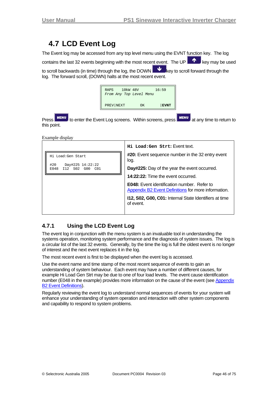## <span id="page-45-1"></span>**4.7 LCD Event Log**

<span id="page-45-0"></span>The Event log may be accessed from any top level menu using the EVNT function key. The log

contains the last 32 events beginning with the most recent event. The UP  $\blacksquare$  key may be used

to scroll backwards (in time) through the log, the DOWN  $\Box$  key to scroll forward through the log. The forward scroll, (DOWN) halts at the most recent event.

| 10kW 48V<br>RAPS<br>From Any Top Level Menu |    | 16:59       |
|---------------------------------------------|----|-------------|
| PREV NEXT                                   | OK | <b>EVNT</b> |

Press **MENU** to enter the Event Log screens. Within screens, press **MENU** at any time to return to this point.

Example display

|                                                                      | Hi Load: Gen Strt: Event text.                                                                            |
|----------------------------------------------------------------------|-----------------------------------------------------------------------------------------------------------|
| Hi Load:Gen Start                                                    | #20: Event sequence number in the 32 entry event<br>log.                                                  |
| #20<br>Day#225 14:22:22<br>E048<br>I12 S02<br>G00<br>C <sub>01</sub> | Day#225: Day of the year the event occurred.                                                              |
|                                                                      | 14:22:22: Time the event occurred.                                                                        |
|                                                                      | <b>E048:</b> Event identification number. Refer to<br>Appendix B2 Event Definitions for more information. |
|                                                                      | 112, S02, G00, C01: Internal State Identifiers at time<br>of event.                                       |
|                                                                      |                                                                                                           |

### **4.7.1 Using the LCD Event Log**

The event log in conjunction with the menu system is an invaluable tool in understanding the systems operation, monitoring system performance and the diagnosis of system issues. The log is a circular list of the last 32 events. Generally, by the time the log is full the oldest event is no longer of interest and the next event replaces it in the log.

The most recent event is first to be displayed when the event log is accessed.

Use the event name and time stamp of the most recent sequence of events to gain an understanding of system behaviour. Each event may have a number of different causes, for example Hi Load Gen Strt may be due to one of four load levels. The event cause identification number (E048 in the example) provides more information on the cause of the event (see Appendix [B2](#page-69-0) [Event Definitions\)](#page-69-0).

Regularly reviewing the event log to understand normal sequences of events for your system will enhance your understanding of system operation and interaction with other system components and capability to respond to system problems.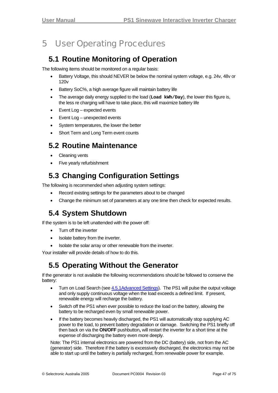# <span id="page-46-0"></span>5 User Operating Procedures

## **5.1 Routine Monitoring of Operation**

The following items should be monitored on a regular basis:

- Battery Voltage, this should NEVER be below the nominal system voltage, e.g. 24v, 48v or 120v
- Battery SoC%, a high average figure will maintain battery life
- The average daily energy supplied to the load (**Load kWh/Day**), the lower this figure is, the less re charging will have to take place, this will maximize battery life
- Event Log expected events
- Event Log unexpected events
- System temperatures, the lower the better
- Short Term and Long Term event counts

## **5.2 Routine Maintenance**

- Cleaning vents
- Five yearly refurbishment

## **5.3 Changing Configuration Settings**

The following is recommended when adjusting system settings:

- Record existing settings for the parameters about to be changed
- Change the minimum set of parameters at any one time then check for expected results.

## **5.4 System Shutdown**

If the system is to be left unattended with the power off:

- Turn off the inverter
- Isolate battery from the inverter.
- Isolate the solar array or other renewable from the inverter.

Your installer will provide details of how to do this.

## **5.5 Operating Without the Generator**

If the generator is not available the following recommendations should be followed to conserve the battery:

- Turn on Load Search (see [4.5.1Advanced Settings\)](#page-37-0). The PS1 will pulse the output voltage and only supply continuous voltage when the load exceeds a defined limit. If present, renewable energy will recharge the battery.
- Switch off the PS1 when ever possible to reduce the load on the battery, allowing the battery to be recharged even by small renewable power.
- If the battery becomes heavily discharged, the PS1 will automatically stop supplying AC power to the load, to prevent battery degradation or damage. Switching the PS1 briefly off then back on via the **ON/OFF** pushbutton**,** will restart the inverter for a short time at the expense of discharging the battery even more deeply.

Note: The PS1 internal electronics are powered from the DC (battery) side, not from the AC (generator) side. Therefore if the battery is excessively discharged, the electronics may not be able to start up until the battery is partially recharged, from renewable power for example.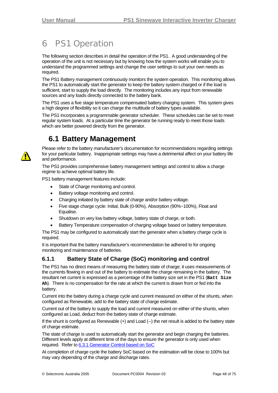# <span id="page-47-2"></span>6 PS1 Operation

The following section describes in detail the operation of the PS1. A good understanding of the operation of the unit is not necessary but by knowing how the system works will enable you to understand the programmed settings and change the user settings to suit your own needs as required.

The PS1 Battery management continuously monitors the system operation. This monitoring allows the PS1 to automatically start the generator to keep the battery system charged or if the load is sufficient, start to supply the load directly. The monitoring includes any input from renewable sources and any loads directly connected to the battery bank.

The PS1 uses a five stage temperature compensated battery charging system. This system gives a high degree of flexibility so it can charge the multitude of battery types available.

The PS1 incorporates a programmable generator scheduler. These schedules can be set to meet regular system loads. At a particular time the generator be running ready to meet those loads which are better powered directly from the generator.

## **6.1 Battery Management**

<span id="page-47-1"></span>

Please refer to the battery manufacturer's documentation for recommendations regarding settings for your particular battery. Inappropriate settings may have a detrimental affect on your battery life and performance.

The PS1 provides comprehensive battery management settings and control to allow a charge regime to achieve optimal battery life.

PS1 battery management features include:

- State of Charge monitoring and control.
- Battery voltage monitoring and control.
- Charging initiated by battery state of charge and/or battery voltage.
- Five stage charge cycle: Initial, Bulk (0-90%), Absorption (90%~100%), Float and Equalise.
- Shutdown on very low battery voltage, battery state of charge, or both.
- Battery Temperature compensation of charging voltage based on battery temperature.

The PS1 may be configured to automatically start the generator when a battery charge cycle is required.

It is important that the battery manufacturer's recommendation be adhered to for ongoing monitoring and maintenance of batteries.

### <span id="page-47-0"></span>**6.1.1 Battery State of Charge (SoC) monitoring and control**

The PS1 has no direct means of measuring the battery state of charge; it uses measurements of the currents flowing in and out of the battery to estimate the charge remaining in the battery. The resultant net current is expressed as a percentage of the battery size set in the PS1 (**Batt Size Ah**). There is no compensation for the rate at which the current is drawn from or fed into the battery.

Current into the battery during a charge cycle and current measured on either of the shunts, when configured as Renewable, add to the battery state of charge estimate.

Current out of the battery to supply the load and current measured on either of the shunts, when configured as Load, deduct from the battery state of charge estimate.

If the shunt is configured as Renewable (+) and Load (--) the net result is added to the battery state of charge estimate.

The state of charge is used to automatically start the generator and begin charging the batteries. Different levels apply at different time of the days to ensure the generator is only used when required. Refer to [6.3.1](#page-51-0) [Generator Control based on SoC](#page-51-0)

At completion of charge cycle the battery SoC based on the estimation will be close to 100% but may vary depending of the charge and discharge rates.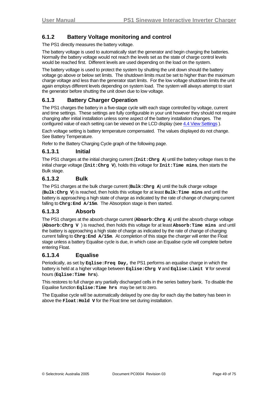### <span id="page-48-0"></span>**6.1.2 Battery Voltage monitoring and control**

The PS1 directly measures the battery voltage.

The battery voltage is used to automatically start the generator and begin charging the batteries. Normally the battery voltage would not reach the levels set as the state of charge control levels would be reached first. Different levels are used depending on the load on the system.

The battery voltage is used to protect the system by shutting the unit down should the battery voltage go above or below set limits. The shutdown limits must be set to higher than the maximum charge voltage and less than the generator start limits. For the low voltage shutdown limits the unit again employs different levels depending on system load. The system will always attempt to start the generator before shutting the unit down due to low voltage.

### **6.1.3 Battery Charger Operation**

The PS1 charges the battery in a five-stage cycle with each stage controlled by voltage, current and time settings. These settings are fully configurable in your unit however they should not require changing after initial installation unless some aspect of the battery installation changes. The configured value of each setting can be viewed on the LCD display (see [4.4](#page-29-0) [View Settings](#page-29-0)).

Each voltage setting is battery temperature compensated. The values displayed do not change. See Battery Temperature.

Refer to the Battery Charging Cycle graph of the following page.

### **6.1.3.1 Initial**

The PS1 charges at the initial charging current (**Init:Chrg A**) until the battery voltage rises to the initial charge voltage (**Init:Chrg V**), holds this voltage for **Init:Time mins**, then starts the Bulk stage.

### **6.1.3.2 Bulk**

The PS1 charges at the bulk charge current (**Bulk:Chrg A**) until the bulk charge voltage (**Bulk:Chrg V**) is reached, then holds this voltage for at least **Bulk:Time mins** and until the battery is approaching a high state of charge as indicated by the rate of change of charging current falling to **Chrg:End A/15m**. The Absorption stage is then started.

#### **6.1.3.3 Absorb**

The PS1 charges at the absorb charge current (**Absorb:Chrg A**) until the absorb charge voltage (**Absorb:Chrg V** ) is reached, then holds this voltage for at least **Absorb:Time mins** and until the battery is approaching a high state of charge as indicated by the rate of change of charging current falling to **Chrg:End A/15m**. At completion of this stage the charger will enter the Float stage unless a battery Equalise cycle is due, in which case an Equalise cycle will complete before entering Float.

### **6.1.3.4 Equalise**

Periodically, as set by **Eqlise:Freq Day,** the PS1 performs an equalise charge in which the battery is held at a higher voltage between **Eqlise:Chrg V** and **Eqlise:Limit V** for several hours (**Eqlise:Time hrs**).

This restores to full charge any partially discharged cells in the series battery bank. To disable the Equalise function **Eqlise:Time hrs** may be set to zero.

The Equalise cycle will be automatically delayed by one day for each day the battery has been in above the **Float: Hold** v for the Float time set during installation.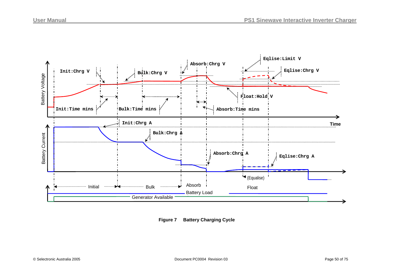

**Figure 7 Battery Charging Cycle**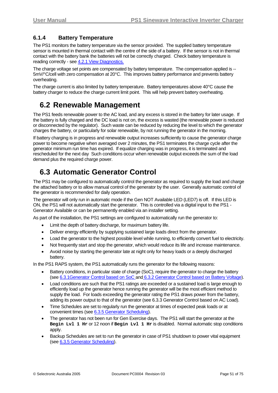### **6.1.4 Battery Temperature**

The PS1 monitors the battery temperature via the sensor provided. The supplied battery temperature sensor is mounted in thermal contact with the centre of the side of a battery. If the sensor is not in thermal contact with the battery bank the batteries will not be correctly charged. Check battery temperature is reading correctly - see [4.2.1](#page-24-0) [View Diagnostics](#page-24-0).

The charge voltage set points are compensated by battery temperature. The compensation applied is --5mV/°C/cell with zero compensation at 20°C. This improves battery performance and prevents battery overheating.

The charge current is also limited by battery temperature. Battery temperatures above 40°C cause the battery charger to reduce the charge current limit point. This will help prevent battery overheating.

## **6.2 Renewable Management**

The PS1 feeds renewable power to the AC load, and any excess is stored in the battery for later usage. If the battery is fully charged and the DC load is not on, the excess is wasted (the renewable power is reduced or disconnected by the regulator). Such waste can be reduced by reducing the level to which the generator charges the battery, or particularly for solar renewable, by not running the generator in the morning.

If battery charging is in progress and renewable output increases sufficiently to cause the generator charge power to become negative when averaged over 2 minutes, the PS1 terminates the charge cycle after the generator minimum run time has expired. If equalize charging was in progress, it is terminated and rescheduled for the next day Such conditions occur when renewable output exceeds the sum of the load demand plus the required charge power.

## **6.3 Automatic Generator Control**

The PS1 may be configured to automatically control the generator as required to supply the load and charge the attached battery or to allow manual control of the generator by the user. Generally automatic control of the generator is recommended for daily operation.

The generator will only run in automatic mode if the Gen NOT Available LED (LED7) is off. If this LED is ON, the PS1 will not automatically start the generator. This is controlled via a digital input to the PS1 - Generator Available or can be permanently enabled via an installer setting.

As part of the installation, the PS1 settings are configured to automatically run the generator to:

- Limit the depth of battery discharge, for maximum battery life.
- Deliver energy efficiently by supplying sustained large loads direct from the generator.
- Load the generator to the highest possible level while running, to efficiently convert fuel to electricity.
- Not frequently start and stop the generator, which would reduce its life and increase maintenance.
- Avoid noise by starting the generator late at night only for heavy loads or a deeply discharged battery.

In the PS1 RAPS system, the PS1 automatically runs the generator for the following reasons:

- Battery conditions, in particular state of charge (SoC), require the generator to charge the battery (see [6.3.1Generator Control based on SoC](#page-51-0) and [6.3.2](#page-54-0) [Generator Control based on Battery Voltage\)](#page-54-0).
- Load conditions are such that the PS1 ratings are exceeded or a sustained load is large enough to efficiently load up the generator hence running the generator will be the most efficient method to supply the load. For loads exceeding the generator rating the PS1 draws power from the battery, adding its power output to that of the generator (see [6.3.3](#page-54-1) [Generator Control based on AC Load](#page-54-1)).
- Time Schedules are set to regularly run the generator at times of expected peak loads or at convenient times (see [6.3.5](#page-55-0) [Generator Scheduling](#page-55-0)).
- The generator has not been run for Gen Exercise days. The PS1 will start the generator at the **Begin Lvl 1 Hr** or 12 noon if **Begin Lvl 1 Hr** is disabled. Normal automatic stop conditions apply.
- Backup Schedules are set to run the generator in case of PS1 shutdown to power vital equipment (see [6.3.5](#page-55-0) [Generator Scheduling\)](#page-55-0).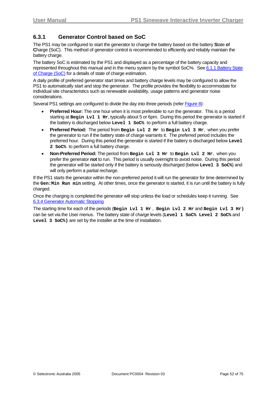### <span id="page-51-1"></span><span id="page-51-0"></span>**6.3.1 Generator Control based on SoC**

The PS1 may be configured to start the generator to charge the battery based on the battery **S**tate **o**f **C**harge (SoC). This method of generator control is recommended to efficiently and reliably maintain the battery charge.

The battery SoC is estimated by the PS1 and displayed as a percentage of the battery capacity and represented throughout this manual and in the menu system by the symbol SoC%. See [6.1.1](#page-47-0) [Battery State](#page-47-0) [of Charge \(SoC\)](#page-47-0) for a details of state of charge estimation.

A daily profile of preferred generator start times and battery charge levels may be configured to allow the PS1 to automatically start and stop the generator. The profile provides the flexibility to accommodate for individual site characteristics such as renewable availability, usage patterns and generator noise considerations.

Several PS1 settings are configured to divide the day into three periods (refer Figure 8):

- **Preferred Hour:** The one hour when it is most preferable to run the generator. This is a period starting at **Begin Lvl 1 Hr**, typically about 5 or 6pm. During this period the generator is started if the battery is discharged below **Level 1 SoC%** to perform a full battery charge.
- **Preferred Period:** The period from **Begin Lvl 2 Hr** to **Begin Lvl 3 Hr**, when you prefer the generator to run if the battery state of charge warrants it. The preferred period includes the preferred hour. During this period the generator is started if the battery is discharged below **Level 2 SoC%** to perform a full battery charge.
- **Non-Preferred Period:** The period from **Begin Lvl 3 Hr** to **Begin Lvl 2 Hr**, when you prefer the generator **not** to run. This period is usually overnight to avoid noise. During this period the generator will be started only if the battery is seriously discharged (below **Level 3 SoC%**) and will only perform a partial recharge.

If the PS1 starts the generator within the non-preferred period it will run the generator for time determined by the **Gen:Min Run min** setting. At other times, once the generator is started, it is run until the battery is fully charged.

Once the charging is completed the generator will stop unless the load or schedules keep it running. See [6.3.4](#page-55-1) [Generator Automatic Stopping](#page-55-1) 

The starting time for each of the periods (**Begin Lvl 1 Hr** , **Begin Lvl 2 Hr** and **Begin Lvl 3 Hr)** can be set via the User menus. The battery state of charge levels (**Level 1 SoC% Level 2 SoC%** and **Level 3 SoC%)** are set by the installer at the time of installation.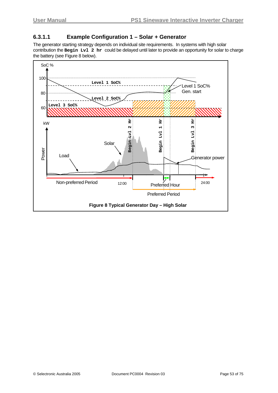### <span id="page-52-0"></span>**6.3.1.1 Example Configuration 1 – Solar + Generator**

The generator starting strategy depends on individual site requirements. In systems with high solar contribution the **Begin Lvl 2 hr** could be delayed until later to provide an opportunity for solar to charge the battery (see Figure 8 below).

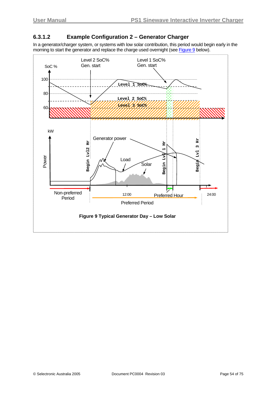### **6.3.1.2 Example Configuration 2 – Generator Charger**

In a generator/charger system, or systems with low solar contribution, this period would begin early in the morning to start the generator and replace the charge used overnight (see Figure 9 below).

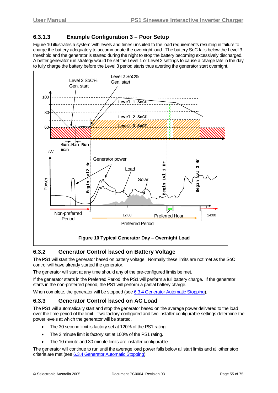### <span id="page-54-2"></span>**6.3.1.3 Example Configuration 3 – Poor Setup**

Figure 10 illustrates a system with levels and times unsuited to the load requirements resulting in failure to charge the battery adequately to accommodate the overnight load. The battery SoC falls below the Level 3 threshold and the generator is started during the night to stop the battery becoming excessively discharged. A better generator run strategy would be set the Level 1 or Level 2 settings to cause a charge late in the day to fully charge the battery before the Level 3 period starts thus averting the generator start overnight.



### <span id="page-54-0"></span>**6.3.2 Generator Control based on Battery Voltage**

The PS1 will start the generator based on battery voltage. Normally these limits are not met as the SoC control will have already started the generator.

The generator will start at any time should any of the pre-configured limits be met.

If the generator starts in the Preferred Period, the PS1 will perform a full battery charge. If the generator starts in the non-preferred period, the PS1 will perform a partial battery charge.

When complete, the generator will be stopped (see [6.3.4](#page-56-1) [Generator Automatic Stopping\)](#page-55-1).

### <span id="page-54-1"></span>**6.3.3 Generator Control based on AC Load**

The PS1 will automatically start and stop the generator based on the average power delivered to the load over the time period of the limit. Two factory-configured and two installer configurable settings determine the power levels at which the generator will be started.

- The 30 second limit is factory set at 120% of the PS1 rating.
- The 2 minute limit is factory set at 100% of the PS1 rating.
- The 10 minute and 30 minute limits are installer configurable.

The generator will continue to run until the average load power falls below all start limits and all other stop criteria are met (see [6.3.4](#page-56-1) [Generator Automatic Stopping](#page-55-1)).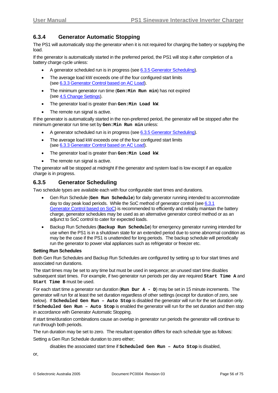### <span id="page-55-2"></span><span id="page-55-1"></span>**6.3.4 Generator Automatic Stopping**

The PS1 will automatically stop the generator when it is not required for charging the battery or supplying the load.

If the generator is automatically started in the preferred period, the PS1 will stop it after completion of a battery charge cycle unless:

- A generator scheduled run is in progress (see [6.3.5](#page-55-0) [Generator Scheduling](#page-55-0)).
- The average load kW exceeds one of the four configured start limits (see [6.3.3](#page-54-1) [Generator Control based on AC Load\)](#page-54-1).
- The minimum generator run time (**Gen:Min Run min**) has not expired (see [4.5](#page-34-0) [Change Settings\)](#page-34-0).
- The generator load is greater than **Gen:Min Load kW**.
- The remote run signal is active.

If the generator is automatically started in the non-preferred period, the generator will be stopped after the minimum generator run time set by **Gen:Min Run min** unless:

- A generator scheduled run is in progress (see [6.3.5](#page-55-0) [Generator Scheduling](#page-55-0)).
- The average load kW exceeds one of the four configured start limits (see [6.3.3](#page-54-1) [Generator Control based on AC Load\)](#page-54-1).
- The generator load is greater than **Gen:Min Load kW**.
- The remote run signal is active.

The generator will be stopped at midnight if the generator and system load is low except if an equalize charge is in progress.

### <span id="page-55-0"></span>**6.3.5 Generator Scheduling**

Two schedule types are available each with four configurable start times and durations.

- Gen Run Schedule (**Gen Run Schedule**) for daily generator running intended to accommodate day to day peak load periods. While the SoC method of generator control (see [6.3.1](#page-51-0)) [Generator Control based on SoC\)](#page-51-0) is recommended to efficiently and reliably maintain the battery charge, generator schedules may be used as an alternative generator control method or as an adjunct to SoC control to cater for expected loads.
- Backup Run Schedules (**Backup Run Schedule**) for emergency generator running intended for use when the PS1 is in a shutdown state for an extended period due to some abnormal condition as may be the case if the PS1 is unattended for long periods. The backup schedule will periodically run the generator to power vital appliances such as refrigerator or freezer etc.

#### **Setting Run Schedules**

Both Gen Run Schedules and Backup Run Schedules are configured by setting up to four start times and associated run durations.

The start times may be set to any time but must be used in sequence; an unused start time disables subsequent start times. For example, if two generator run periods per day are required **Start Time A** and **Start Time B** must be used.

For each start time a generator run duration (**Run Dur A - D**) may be set in 15 minute increments. The generator will run for at least the set duration regardless of other settings (except for duration of zero, see below). If **Scheduled Gen Run – Auto Stop** is disabled the generator will run for the set duration only. If **Scheduled Gen Run – Auto Stop** is enabled the generator will run for the set duration and then stop in accordance with Generator Automatic Stopping.

If start time/duration combinations cause an overlap in generator run periods the generator will continue to run through both periods.

The run duration may be set to zero. The resultant operation differs for each schedule type as follows:

Setting a Gen Run Schedule duration to zero either;

disables the associated start time if **Scheduled Gen Run – Auto Stop** is disabled,

or,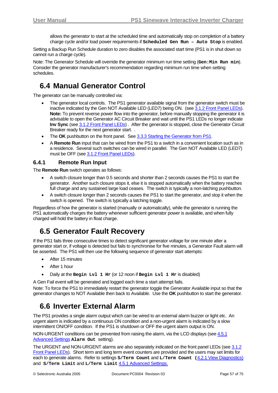allows the generator to start at the scheduled time and automatically stop on completion of a battery charge cycle and/or load power requirements if **Scheduled Gen Run – Auto Stop** is enabled.

<span id="page-56-2"></span><span id="page-56-1"></span>Setting a Backup Run Schedule duration to zero disables the associated start time (PS1 is in shut down so cannot run a charge cycle).

Note: The Generator Schedule will override the generator minimum run time setting (Gen:Min Run min). Consider the generator manufacturer's recommendation regarding minimum run time when setting schedules.

## **6.4 Manual Generator Control**

The generator can be manually controlled via:

- The generator local controls. The PS1 generator available signal from the generator switch must be inactive indicated by the Gen NOT Available LED (LED7) being ON. (see [3.1.2](#page-12-0) [Front Panel LEDs](#page-12-0)). **Note:** To prevent reverse power flow into the generator, before manually stopping the generator it is advisable to open the Generator AC Circuit Breaker and wait until the PS1 LEDs no longer indicate **Inv Sync** (see [3.1.2](#page-12-0) [Front Panel LEDs\)](#page-12-0) . After the generator is stopped, close the Generator Circuit Breaker ready for the next generator start. .
- The **OK** pushbutton on the front panel. See [3.3.3](#page-19-0) [Starting the Generator from PS1](#page-19-0).
- A **Remote Run** input that can be wired from the PS1 to a switch in a convenient location such as in a residence. Several such switches can be wired in parallel. The Gen NOT Available LED (LED7) must be OFF (see [3.1.2](#page-12-0) [Front Panel LEDs](#page-12-0)).

### **6.4.1 Remote Run Input**

The **Remote Run** switch operates as follows:

- A switch closure longer than 0.5 seconds and shorter than 2 seconds causes the PS1 to start the generator. Another such closure stops it, else it is stopped automatically when the battery reaches full charge and any sustained large load ceases. The switch is typically a non-latching pushbutton.
- A switch closure longer than 2 seconds causes the PS1 to start the generator, and stop it when the switch is opened. The switch is typically a latching toggle.

Regardless of how the generator is started (manually or automatically), while the generator is running the PS1 automatically charges the battery whenever sufficient generator power is available, and when fully charged will hold the battery in float charge.

## **6.5 Generator Fault Recovery**

If the PS1 fails three consecutive times to detect significant generator voltage for one minute after a generator start or, if voltage is detected but fails to synchronise for five minutes, a Generator Fault alarm will be asserted. The PS1 will then use the following sequence of generator start attempts:

- After 15 minutes
- After 1 hour
- Daily at the **Begin Lvl 1 Hr** (or 12 noon if **Begin Lvl 1 Hr** is disabled)

A Gen Fail event will be generated and logged each time a start attempt fails.

Note: To force the PS1 to immediately restart the generator toggle the Generator Available input so that the generator changes to NOT Available then back to Available. Use the **OK** pushbutton to start the generator.

## **6.6 Inverter External Alarm**

<span id="page-56-0"></span>The PS1 provides a single alarm output which can be wired to an external alarm buzzer or light etc. An urgent alarm is indicated by a continuous ON condition and a non-urgent alarm is indicated by a slow intermittent ON/OFF condition. If the PS1 is shutdown or OFF the urgent alarm output is ON.

NON-URGENT conditions can be prevented from raising the alarm, via the LCD displays (see [4.5.1](#page-37-0) [Advanced Settings](#page-37-0) **Alarm Out** setting).

The URGENT and NON-URGENT alarms are also separately indicated on the front panel LEDs (see [3.1.2](#page-12-0) [Front Panel LEDs\)](#page-12-0). Short term and long term event counters are provided and the users may set limits for each to generate alarms. Refer to settings **S/Term Count** and **L/Term Count (**[4.2.1](#page-24-0) [View Diagnostics\)](#page-24-0) and **S/Term Limit** and **L/Term Limit** [4.5.1](#page-37-0) [Advanced Settings.](#page-37-0)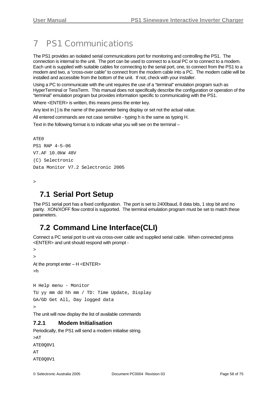# <span id="page-57-0"></span>7 PS1 Communications

The PS1 provides an isolated serial communications port for monitoring and controlling the PS1. The connection is internal to the unit. The port can be used to connect to a local PC or to connect to a modem. Each unit is supplied with suitable cables for connecting to the serial port, one, to connect from the PS1 to a modem and two, a "cross-over cable" to connect from the modem cable into a PC. The modem cable will be installed and accessible from the bottom of the unit. If not, check with your installer.

Using a PC to communicate with the unit requires the use of a "terminal" emulation program such as HyperTerminal or TeraTerm. This manual does not specifically describe the configuration or operation of the "terminal" emulation program but provides information specific to communicating with the PS1.

Where <ENTER> is written, this means press the enter key.

Any text in [ ] is the name of the parameter being display or set not the actual value.

All entered commands are not case sensitive - typing h is the same as typing H.

Text in the following format is to indicate what you will see on the terminal –

```
ATE0 
PS1 RAP 4-5-06 
V7.AF 10.0kW 48V 
(C) Selectronic 
Data Monitor V7.2 Selectronic 2005
```
>

## **7.1 Serial Port Setup**

The PS1 serial port has a fixed configuration. The port is set to 2400baud, 8 data bits, 1 stop bit and no parity. XON/XOFF flow control is supported. The terminal emulation program must be set to match these parameters.

## **7.2 Command Line Interface(CLI)**

Connect a PC serial port to unit via cross-over cable and supplied serial cable. When connected press <ENTER> and unit should respond with prompt -

```
> 
> 
At the prompt enter – H <ENTER> 
>h 
H Help menu - Monitor 
TU yy mm dd hh mm / TD: Time Update, Display 
GA/GD Get All, Day logged data
```
>

The unit will now display the list of available commands

### **7.2.1 Modem Initialisation**

Periodically, the PS1 will send a modem initialise string. >AT ATE0Q0V1  $\Delta T$ ATE0Q0V1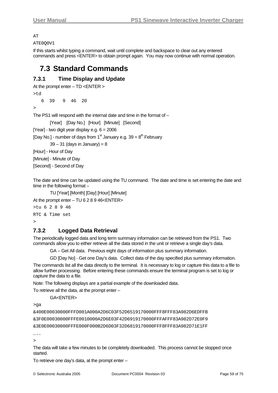#### <span id="page-58-0"></span> $\overline{\Lambda}$

ATE0Q0V1

If this starts whilst typing a command, wait until complete and backspace to clear out any entered commands and press <ENTER> to obtain prompt again. You may now continue with normal operation.

## **7.3 Standard Commands**

### **7.3.1 Time Display and Update**

```
At the prompt enter – TD <ENTER >
```
>td

6 39 9 46 20

>

The PS1 will respond with the internal date and time in the format of –

[Year] [Day No.] [Hour] [Minute] [Second]

[Year] - two digit year display e.g.  $6 = 2006$ 

[Day No.] - number of days from 1<sup>st</sup> January e.g.  $39 = 8<sup>th</sup>$  February

 $39 - 31$  (days in January) = 8

[Hour] - Hour of Day

[Minute] - Minute of Day

[Second] - Second of Day

The date and time can be updated using the TU command. The date and time is set entering the date and time in the following format –

TU [Year] [Month] [Day] [Hour] [Minute]

At the prompt enter – TU 6 2 8 9 46<ENTER>

```
>tu 6 2 8 9 46 
RTC & Time set 
\overline{\phantom{a}}
```
### **7.3.2 Logged Data Retrieval**

The periodically logged data and long term summary information can be retrieved from the PS1. Two commands allow you to either retrieve all the data stored in the unit or retrieve a single day's data.

GA – Get All data. Previous eight days of information plus summary information.

GD [Day No] - Get one Day's data. Collect data of the day specified plus summary information.

The commands list all the data directly to the terminal. It is necessary to log or capture this data to a file to allow further processing. Before entering these commands ensure the terminal program is set to log or capture the data to a file.

Note: The following displays are a partial example of the downloaded data.

To retrieve all the data, at the prompt enter –

GA<ENTER>

>ga

```
&400E00030000FFFD001A000A2D6C03F52D6519170000FFF8FFF83A982D6EDFFB 
&3F0E00030000FFFE0010000A2D6E03F42D6919170000FFFAFFF83A982D72E0F9 
&3E0E00030000FFFE000F000B2D6D03F32D6819170000FFF8FFF83A982D71E1FF
```
…..

>

The data will take a few minutes to be completely downloaded. This process cannot be stopped once started.

To retrieve one day's data, at the prompt enter –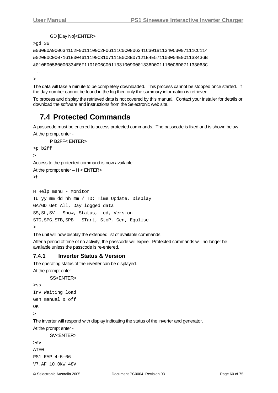#### GD [Day No]<ENTER>

<span id="page-59-0"></span>>gd 36

```
&030E0A9006341C2F0011100C2F06111C0C0806341C301B11340C3007111CC114 
&020E0C0007161E004611190C3107111E0C8B07121E4E571100004E001133436B 
&010E00560000334E6F1101006C00113310090001336D0011160C6D071133063C
```
….  $\rightarrow$ 

The data will take a minute to be completely downloaded. This process cannot be stopped once started. If the day number cannot be found in the log then only the summary information is retrieved.

To process and display the retrieved data is not covered by this manual. Contact your installer for details or download the software and instructions from the Selectronic web site.

## **7.4 Protected Commands**

A passcode must be entered to access protected commands. The passcode is fixed and is shown below.

```
At the prompt enter -
```

```
 P B2FF< ENTER>
```

```
>p b2ff
```
>

Access to the protected command is now available.

```
At the prompt enter - H < ENTER>
```
>h

```
H Help menu - Monitor 
TU yy mm dd hh mm / TD: Time Update, Display 
GA/GD Get All, Day logged data 
SS,SL,SV - Show, Status, Lcd, Version 
STG,SPG,STB,SPB - STart, StoP, Gen, Equlise 
\ddot{\phantom{1}}
```
The unit will now display the extended list of available commands.

After a period of time of no activity, the passcode will expire. Protected commands will no longer be available unless the passcode is re-entered.

### **7.4.1 Inverter Status & Version**

The operating status of the inverter can be displayed. At the prompt enter -

```
SS<ENTER>
```

```
>ss 
Inv Waiting load 
Gen manual & off 
OK 
>
```
The inverter will respond with display indicating the status of the inverter and generator.

At the prompt enter -

```
SV<ENTER>
```

```
>sv 
ATE0 
PS1 RAP 4-5-06 
V7.AF 10.0kW 48V
```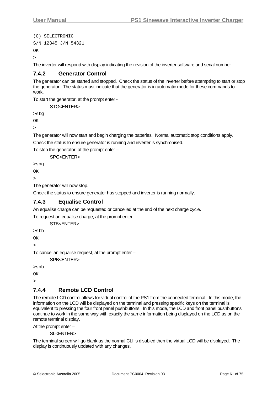```
(C) SELECTRONIC 
S/N 12345 J/N 54321 
\overline{X}>
```
The inverter will respond with display indicating the revision of the inverter software and serial number.

### **7.4.2 Generator Control**

The generator can be started and stopped. Check the status of the inverter before attempting to start or stop the generator. The status must indicate that the generator is in automatic mode for these commands to work.

To start the generator, at the prompt enter -

STG<FNTFR>

>stg

OK

 $\ddot{\phantom{1}}$ 

The generator will now start and begin charging the batteries. Normal automatic stop conditions apply.

Check the status to ensure generator is running and inverter is synchronised.

To stop the generator, at the prompt enter –

SPG<ENTER>

>spg

OK

>

The generator will now stop.

Check the status to ensure generator has stopped and inverter is running normally.

### **7.4.3 Equalise Control**

An equalise charge can be requested or cancelled at the end of the next charge cycle.

To request an equalise charge, at the prompt enter -

STB<ENTER>

>stb

**OK** 

>

To cancel an equalise request, at the prompt enter –

SPR<FNTFR>

>spb

OK

>

### **7.4.4 Remote LCD Control**

The remote LCD control allows for virtual control of the PS1 from the connected terminal. In this mode, the information on the LCD will be displayed on the terminal and pressing specific keys on the terminal is equivalent to pressing the four front panel pushbuttons. In this mode, the LCD and front panel pushbuttons continue to work in the same way with exactly the same information being displayed on the LCD as on the remote terminal display.

At the prompt enter –

SL<ENTER>

The terminal screen will go blank as the normal CLI is disabled then the virtual LCD will be displayed. The display is continuously updated with any changes.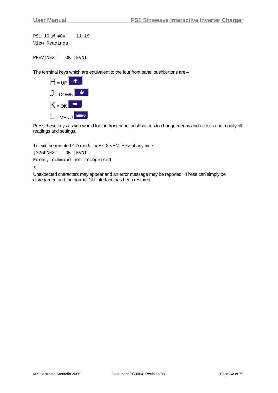```
PS1 10kW 48V 11:19 
View Readings
```
PREV|NEXT OK |EVNT

The terminal keys which are equivalent to the four front panel pushbuttons are –



Press these keys as you would for the front panel pushbuttons to change menus and access and modify all readings and settings.

To exit the remote LCD mode, press X <ENTER> at any time.

[?25hNEXT OK |EVNT Error, command not recognised

 $\rightarrow$ 

Unexpected characters may appear and an error message may be reported. These can simply be disregarded and the normal CLI interface has been restored.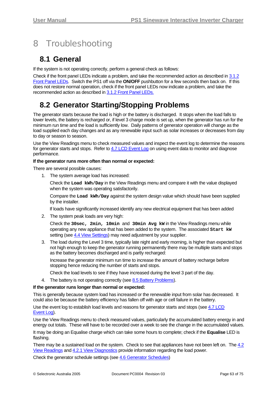# <span id="page-62-0"></span>8 Troubleshooting

## **8.1 General**

If the system is not operating correctly, perform a general check as follows:

Check if the front panel LEDs indicate a problem, and take the recommended action as described in [3.1.2](#page-12-0) Front Panel LEDs. Switch the PS1 off via the **ON/OFF** pushbutton for a few seconds then back on. If this does not restore normal operation, check if the front panel LEDs now indicate a problem, and take the recommended action as described in [3.1.2](#page-12-0) Front Panel LEDs.

## **8.2 Generator Starting/Stopping Problems**

The generator starts because the load is high or the battery is discharged. It stops when the load falls to lower levels, the battery is recharged or, if level 3 charge mode is set up, when the generator has run for the minimum run time and the load is sufficiently low. Daily patterns of generator operation will change as the load supplied each day changes and as any renewable input such as solar increases or decreases from day to day or season to season.

Use the View Readings menu to check measured values and inspect the event log to determine the reasons for generator starts and stops. Refer to [4.7](#page-45-0) [LCD Event Log](#page-45-0) on using event data to monitor and diagnose performance.

#### **If the generator runs more often than normal or expected:**

There are several possible causes:

1. The system average load has increased:

Check the **Load kWh/Day** in the View Readings menu and compare it with the value displayed when the system was operating satisfactorily.

Compare the **Load kWh/Day** against the system design value which should have been supplied by the installer.

If loads have significantly increased identify any new electrical equipment that has been added

2. The system peak loads are very high:

Check the **30sec, 2min, 10min** and **30min Avg kW** in the View Readings menu while operating any new appliance that has been added to the system. The associated **Start kW** setting (see [4.4](#page-29-0) [View Settings](#page-29-0)) may need adjustment by your supplier.

3. The load during the Level 3 time, typically late night and early morning, is higher than expected but not high enough to keep the generator running permanently there may be multiple starts and stops as the battery becomes discharged and is partly recharged:

Increase the generator minimum run time to increase the amount of battery recharge before stopping hence reducing the number of starts and stops.

Check the load levels to see if they have increased during the level 3 part of the day.

4. The battery is not operating correctly (see [8.5](#page-64-0) [Battery Problems\)](#page-64-0).

### **If the generator runs longer than normal or expected:**

This is generally because system load has increased or the renewable input from solar has decreased. It could also be because the battery efficiency has fallen off with age or cell failure in the battery.

Use the event log to establish load levels and reasons for generator starts and stops (see [4.7](#page-45-0) [LCD](#page-45-0) [Event Log\)](#page-45-0).

Use the View Readings menu to check measured values, particularly the accumulated battery energy in and energy out totals. These will have to be recorded over a week to see the change in the accumulated values. It may be doing an Equalise charge which can take some hours to complete; check if the **Equalise** LED is flashing.

There may be a sustained load on the system. Check to see that appliances have not been left on. The [4.2](#page-21-0) [View Readings](#page-21-0) and [4.2.1](#page-24-0) [View Diagnostics](#page-24-0) provide information regarding the load power.

Check the generator schedule settings (see [4.6](#page-40-0) [Generator Schedules](#page-40-0))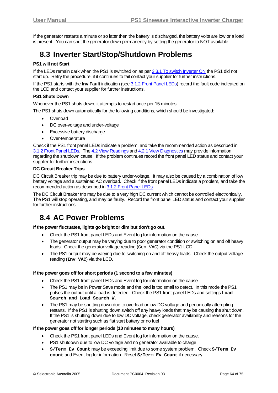If the generator restarts a minute or so later then the battery is discharged, the battery volts are low or a load is present. You can shut the generator down permanently by setting the generator to NOT available.

## **8.3 Inverter Start/Stop/Shutdown Problems**

### **PS1 will not Start**

If the LEDs remain dark when the PS1 is switched on as per [3.3.1](#page-18-0) [To switch Inverter ON](#page-18-0) the PS1 did not start up. Retry the procedure, if it continues to fail contact your supplier for further instructions.

If the PS1 starts with the **Inv Fault** indication (see [3.1.2](#page-12-0) [Front Panel LEDs](#page-12-0)) record the fault code indicated on the LCD and contact your supplier for further instructions.

#### **PS1 Shuts Down**

Whenever the PS1 shuts down, it attempts to restart once per 15 minutes.

The PS1 shuts down automatically for the following conditions, which should be investigated:

- Overload
- DC over-voltage and under-voltage
- Excessive battery discharge
- Over-temperature

Check if the PS1 front panel LEDs indicate a problem, and take the recommended action as described in [3.1.2](#page-12-0) [Front Panel LEDs](#page-12-0). The [4.2](#page-21-0) [View Readings](#page-21-0) and [4.2.1](#page-24-0) [View Diagnostics](#page-24-0) may provide information regarding the shutdown cause. If the problem continues record the front panel LED status and contact your supplier for further instructions.

#### **DC Circuit Breaker Trips**

DC Circuit Breaker trip may be due to battery under-voltage. It may also be caused by a combination of low battery voltage and a sustained AC overload. Check if the front panel LEDs indicate a problem, and take the recommended action as described in [3.1.2](#page-12-0) [Front Panel LEDs.](#page-12-0)

The DC Circuit Breaker trip may be due to a very high DC current which cannot be controlled electronically. The PS1 will stop operating, and may be faulty. Record the front panel LED status and contact your supplier for further instructions.

## **8.4 AC Power Problems**

#### **If the power fluctuates, lights go bright or dim but don't go out.**

- Check the PS1 front panel LEDs and Event log for information on the cause.
- The generator output may be varying due to poor generator condition or switching on and off heavy loads. Check the generator voltage reading (Gen VAC) via the PS1 LCD.
- The PS1 output may be varying due to switching on and off heavy loads. Check the output voltage reading (**Inv VAC**) via the LCD.

#### **If the power goes off for short periods (1 second to a few minutes)**

- Check the PS1 front panel LEDs and Event log for information on the cause.
- The PS1 may be in Power Save mode and the load is too small to detect. In this mode the PS1 pulses the output until a load is detected. Check the PS1 front panel LEDs and settings **Load Search and Load Search W.**
- The PS1 may be shutting down due to overload or low DC voltage and periodically attempting restarts. If the PS1 is shutting down switch off any heavy loads that may be causing the shut down. If the PS1 is shutting down due to low DC voltage, check generator availability and reasons for the generator not starting such as flat start battery or no fuel

#### **If the power goes off for longer periods (10 minutes to many hours)**

- Check the PS1 front panel LEDs and Event log for information on the cause.
- PS1 shutdown due to low DC voltage and no generator available to charge
- **S/Term Ev Count** may be exceeding limit due to some system problem. Check **S/Term Ev count** and Event log for information. Reset **S/Term Ev Count** if necessary.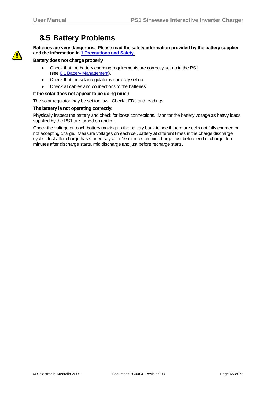## **8.5 Battery Problems**

<span id="page-64-0"></span>

**Batteries are very dangerous. Please read the safety information provided by the battery supplier and the information in [1](#page-7-0) [Precautions and Safety.](#page-7-0)**

#### **Battery does not charge properly**

- Check that the battery charging requirements are correctly set up in the PS1 (see [6.1](#page-47-1) [Battery Management\)](#page-47-1).
- Check that the solar regulator is correctly set up.
- Check all cables and connections to the batteries.

#### **If the solar does not appear to be doing much**

The solar regulator may be set too low. Check LEDs and readings

#### **The battery is not operating correctly:**

Physically inspect the battery and check for loose connections. Monitor the battery voltage as heavy loads supplied by the PS1 are turned on and off.

Check the voltage on each battery making up the battery bank to see if there are cells not fully charged or not accepting charge. Measure voltages on each cell/battery at different times in the charge discharge cycle. Just after charge has started say after 10 minutes, in mid charge, just before end of charge, ten minutes after discharge starts, mid discharge and just before recharge starts.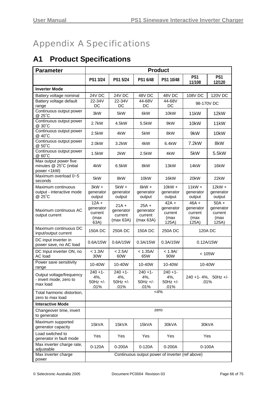# <span id="page-65-0"></span>Appendix A Specifications

# **A1 Product Specifications**

| <b>Parameter</b>                                                | <b>Product</b>                                  |                                              |                                              |                                                  |                                                  |                                                  |
|-----------------------------------------------------------------|-------------------------------------------------|----------------------------------------------|----------------------------------------------|--------------------------------------------------|--------------------------------------------------|--------------------------------------------------|
|                                                                 | PS1 3/24                                        | PS1 5/24                                     | PS1 6/48                                     | PS1 10/48                                        | PS1<br>11/108                                    | PS1<br>12/120                                    |
| <b>Inverter Mode</b>                                            |                                                 |                                              |                                              |                                                  |                                                  |                                                  |
| Battery voltage nominal                                         | 24V DC                                          | <b>24V DC</b>                                | 48V DC                                       | 48V DC                                           | 108V DC                                          | 120V DC                                          |
| Battery voltage default<br>range                                | 22-34V<br>DC                                    | 22-34V<br>DC                                 | 44-68V<br>DC                                 | 44-68V<br>DC                                     | 98-170V DC                                       |                                                  |
| Continuous output power<br>@ 25°C                               | 3kW                                             | 5kW                                          | 6kW                                          | 10kW                                             | 11 <sub>k</sub> W                                | 12kW                                             |
| Continuous output power<br>@ 30°C                               | 2.7kW                                           | 4.5kW                                        | 5.5kW                                        | 9kW                                              | 10kW                                             | 11 <sub>k</sub> W                                |
| Continuous output power<br>@ 40°C                               | 2.5kW                                           | 4kW                                          | 5kW                                          | 8kW                                              | 9kW                                              | 10 <sub>k</sub> W                                |
| Continuous output power<br>@ 50°C                               | 2.0kW                                           | 3.2kW                                        | 4kW                                          | 6.4kW                                            | 7.2kW                                            | 8kW                                              |
| Continuous output power<br>@ 60°C                               | 1.5kW                                           | 2kW                                          | 2.5kW                                        | 4kW                                              | 5kW                                              | 5.5kW                                            |
| Max output power five<br>minutes @ 25°C (initial<br>power <1kW) | 4kW                                             | 6.5kW                                        | 8kW                                          | 13kW                                             | 14kW                                             | 16kW                                             |
| Maximum overload 0~5<br>seconds                                 | 5kW                                             | 8kW                                          | 10kW                                         | 16kW                                             | 20 <sub>k</sub> W                                | 22kW                                             |
| Maximum continuous<br>output - interactive mode<br>@ 25°C       | $3kW +$<br>generator<br>output                  | $5kW +$<br>generator<br>output               | $6kW +$<br>generator<br>output               | $10$ kW $+$<br>generator<br>output               | $11kW +$<br>generator<br>output                  | $12kW +$<br>generator<br>output                  |
| Maximum continuous AC<br>output current                         | $12A +$<br>generator<br>current<br>(max<br>63A) | $21A +$<br>generator<br>current<br>(max 63A) | $25A +$<br>generator<br>current<br>(max 63A) | $42A +$<br>generator<br>current<br>(max<br>125A) | $46A +$<br>generator<br>current<br>(max<br>125A) | $50A +$<br>generator<br>current<br>(max<br>125A) |
| Maximum continuous DC<br>input/output current                   | <b>150ADC</b>                                   | 250A DC                                      | <b>150A DC</b>                               | 250A DC                                          | 120A DC                                          |                                                  |
| DC input inverter in<br>power save, no AC load                  | 0.6A/15W                                        | 0.6A/15W                                     | 0.3A/15W                                     | 0.3A/15W                                         | 0.12A/15W                                        |                                                  |
| DC Input inverter ON, no<br>AC load                             | < 1.3A/<br>30W                                  | < 2.5A/<br>60W                               | < 1.35A/<br>65W                              | < 1.9A/<br>90W                                   | < 105W                                           |                                                  |
| Power save sensitivity<br>range                                 | 10-40W                                          | 10-40W                                       | 10-40W                                       | 10-40W                                           | 10-40W                                           |                                                  |
| Output voltage/frequency<br>- invert mode, zero to<br>max load  | $240 + 1 -$<br>4%,<br>50Hz +/-<br>.01%          | $240 + 1$<br>4%,<br>$50Hz +/-$<br>.01%       | $240 + 1$ -<br>4%,<br>$50Hz +/-$<br>.01%     | $240 + 1$<br>4%,<br>50Hz +/-<br>.01%             | 240 +1-4%, 50Hz +/-<br>.01%                      |                                                  |
| Total harmonic distortion,<br>zero to max load                  |                                                 |                                              |                                              | <4%                                              |                                                  |                                                  |
| <b>Interactive Mode</b>                                         |                                                 |                                              |                                              |                                                  |                                                  |                                                  |
| Changeover time, invert<br>to generator                         | zero                                            |                                              |                                              |                                                  |                                                  |                                                  |
| Maximum supported<br>generator capacity                         | 15kVA                                           | 15kVA                                        | 15kVA                                        | 30kVA                                            |                                                  | 30kVA                                            |
| Load switched to<br>generator in fault mode                     | Yes                                             | Yes                                          | Yes                                          | Yes                                              | Yes                                              |                                                  |
| Max inverter charge rate,<br>adjustable                         | $0-120A$                                        | 0-200A                                       | $0-120A$                                     | 0-200A                                           | 0-100A                                           |                                                  |
| Max inverter charge<br>power                                    |                                                 |                                              |                                              |                                                  | Continuous output power of inverter (ref above)  |                                                  |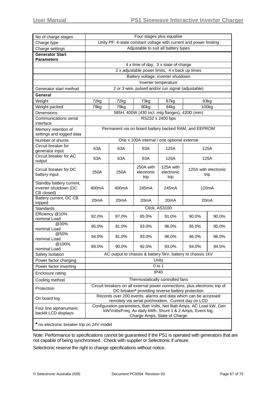| No of charge stages                                             | Four stages plus equalise                                                                                                                                                                                               |                                                                                        |                                 |                                                                |                              |                   |  |
|-----------------------------------------------------------------|-------------------------------------------------------------------------------------------------------------------------------------------------------------------------------------------------------------------------|----------------------------------------------------------------------------------------|---------------------------------|----------------------------------------------------------------|------------------------------|-------------------|--|
| Charge type                                                     | Unity PF: 4-state constant voltage with current and power limiting                                                                                                                                                      |                                                                                        |                                 |                                                                |                              |                   |  |
| Charge settings                                                 |                                                                                                                                                                                                                         |                                                                                        |                                 | Adjustable to suit all battery types                           |                              |                   |  |
| <b>Generator Start</b>                                          |                                                                                                                                                                                                                         |                                                                                        |                                 |                                                                |                              |                   |  |
| <b>Parameters</b>                                               |                                                                                                                                                                                                                         |                                                                                        |                                 |                                                                |                              |                   |  |
|                                                                 |                                                                                                                                                                                                                         | 4 x time of day, 3 x state of charge<br>2 x adjustable power limits, 4 x back up times |                                 |                                                                |                              |                   |  |
|                                                                 |                                                                                                                                                                                                                         |                                                                                        |                                 |                                                                |                              |                   |  |
|                                                                 |                                                                                                                                                                                                                         |                                                                                        |                                 | Battery voltage, inverter shutdown                             |                              |                   |  |
|                                                                 | Inverter temperature                                                                                                                                                                                                    |                                                                                        |                                 |                                                                |                              |                   |  |
| Generator start method                                          | 2 or 3 wire, pulsed and/or run signal (adjustable)                                                                                                                                                                      |                                                                                        |                                 |                                                                |                              |                   |  |
| General                                                         |                                                                                                                                                                                                                         |                                                                                        |                                 |                                                                |                              |                   |  |
| Weight                                                          | 72kg                                                                                                                                                                                                                    | 72kg                                                                                   | 73kg                            | 87kg                                                           | 93kg                         |                   |  |
| Weight packed                                                   | 79kg                                                                                                                                                                                                                    | 79kg                                                                                   | 80kg                            | 94kg                                                           |                              | 100 <sub>kg</sub> |  |
| <b>Dimensions</b>                                               |                                                                                                                                                                                                                         |                                                                                        |                                 | 585H, 400W (430 incl. mtg flanges), 420D (mm)                  |                              |                   |  |
| Communications serial<br>interface                              |                                                                                                                                                                                                                         |                                                                                        |                                 | RS232 x 2400 bps                                               |                              |                   |  |
| Memory retention of<br>settings and logged data                 |                                                                                                                                                                                                                         |                                                                                        |                                 | Permanent via on board battery backed RAM, and EEPROM          |                              |                   |  |
| Number of shunts                                                |                                                                                                                                                                                                                         |                                                                                        |                                 | One x 100A internal / one optional external                    |                              |                   |  |
| Circuit breaker for<br>generator input                          | 63A                                                                                                                                                                                                                     | 63A                                                                                    | 63A                             | 125A                                                           | 125A                         |                   |  |
| Circuit breaker for AC                                          |                                                                                                                                                                                                                         |                                                                                        |                                 |                                                                |                              |                   |  |
| output                                                          | 63A                                                                                                                                                                                                                     | 63A                                                                                    | 63A                             | 125A                                                           | 125A                         |                   |  |
| Circuit breaker for DC<br>battery input                         | 250A                                                                                                                                                                                                                    | 250A                                                                                   | 250A with<br>electronic<br>trip | 125A with<br>electronic<br>trip                                | 125A with electronic<br>trip |                   |  |
| Standby battery current,<br>inverter shutdown (DC<br>CB closed) | 400mA                                                                                                                                                                                                                   | 400 <sub>m</sub> A                                                                     | 245mA                           | 245mA                                                          | 120 <sub>m</sub> A           |                   |  |
| Battery current, DC CB<br>tripped                               | 20 <sub>m</sub> A                                                                                                                                                                                                       | 20 <sub>m</sub> A                                                                      | 20 <sub>m</sub> A               | 20 <sub>m</sub> A                                              | 20 <sub>m</sub> A            |                   |  |
| <b>Standards</b>                                                | Ctick, AS3100                                                                                                                                                                                                           |                                                                                        |                                 |                                                                |                              |                   |  |
| Efficiency @10%<br>nominal Load                                 | 92.0%                                                                                                                                                                                                                   | 87.0%                                                                                  | 85.0%                           | 91.0%                                                          | 90.0%                        | 90.0%             |  |
| @30%<br>nominal Load                                            | 95.0%                                                                                                                                                                                                                   | 91.0%                                                                                  | 93.0%                           | 96.0%                                                          | 95.0%                        | 95.0%             |  |
| @50%<br>nominal Load                                            | 94.0%                                                                                                                                                                                                                   | 91.0%                                                                                  | 93.0%                           | 96.0%                                                          | 96.0%                        | 96.0%             |  |
| @100%<br>nominal Load                                           | 89.0%<br>90.0%<br>93.0%<br>94.0%<br>92.0%                                                                                                                                                                               |                                                                                        |                                 |                                                                |                              | 94.5%             |  |
| Safety isolation                                                |                                                                                                                                                                                                                         |                                                                                        |                                 | AC output to chassis & battery 5kV, battery to chassis 1kV     |                              |                   |  |
| Power factor charging                                           |                                                                                                                                                                                                                         |                                                                                        |                                 | Unity                                                          |                              |                   |  |
| Power factor inverting                                          | $0$ to 1                                                                                                                                                                                                                |                                                                                        |                                 |                                                                |                              |                   |  |
| Enclosure rating                                                | <b>IP40</b>                                                                                                                                                                                                             |                                                                                        |                                 |                                                                |                              |                   |  |
| Cooling method                                                  |                                                                                                                                                                                                                         |                                                                                        |                                 | Thermostatically controlled fans                               |                              |                   |  |
| Protection                                                      | Circuit breakers on all external power connections, plus electronic trip of<br>DC breaker* providing reverse battery protection                                                                                         |                                                                                        |                                 |                                                                |                              |                   |  |
| On board log                                                    |                                                                                                                                                                                                                         |                                                                                        |                                 | Records over 200 events, alarms and data which can be accessed |                              |                   |  |
| Four line alphanumeric<br>backlit LCD displays:                 | remotely via serial port/modem. Current day on LCD<br>Configuration parameters, Batt Volts, Net Batt Amps, AC Load kW, Gen<br>kW/Volts/Freq, Av daily kWh, Shunt 1 & 2 Amps, Event log,<br>Charge Amps, State of Charge |                                                                                        |                                 |                                                                |                              |                   |  |
| * no electronic breaker trip on 24V model                       |                                                                                                                                                                                                                         |                                                                                        |                                 |                                                                |                              |                   |  |

Note: Performance to specifications cannot be guaranteed if the PS1 is operated with generators that are not capable of being synchronised. Check with supplier or Selectronic if unsure.

Selectronic reserve the right to change specifications without notice.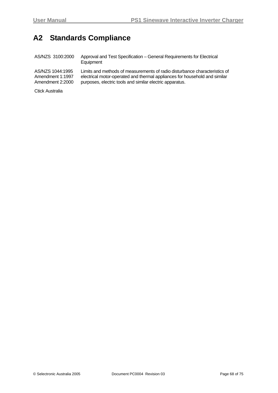## **A2 Standards Compliance**

| AS/NZS 1044:1995<br>Amendment 1:1997<br>Amendment 2:2000 | AS/NZS 3100:2000 | Approval and Test Specification – General Requirements for Electrical<br>Equipment                                                                                                                                   |
|----------------------------------------------------------|------------------|----------------------------------------------------------------------------------------------------------------------------------------------------------------------------------------------------------------------|
|                                                          |                  | Limits and methods of measurements of radio disturbance characteristics of<br>electrical motor-operated and thermal appliances for household and similar<br>purposes, electric tools and similar electric apparatus. |

Ctick Australia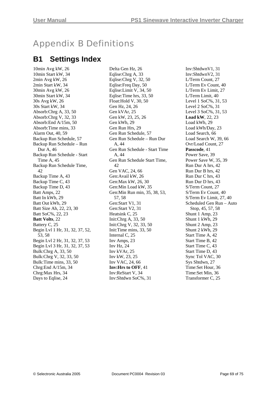# Appendix B Definitions

## **B1 Settings Index**

10min Avg kW, 26 10min Start kW, 34 2min Avg kW, 26 2min Start kW, 34 30min Avg kW, 26 30min Start kW, 34 30s Avg kW, 26 30s Start kW, 34 Absorb:Chrg A, 33, 50 Absorb:Chrg V, 32, 33 Absorb:End A/15m, 50 Absorb:Time mins, 33 Alarm Out, 40, 59 Backup Run Schedule, 57 Backup Run Schedule – Run Dur A<sub>46</sub> Backup Run Schedule - Start Time A, 45 Backup Run Schedule Time, 42 Backup Time A, 43 Backup Time C, 43 Backup Time D, 43 Batt Amps, 22 Batt In kWh, 29 Batt Out kWh, 29 Batt Size Ah, 22, 23, 30 Batt SoC%, 22, 23 **Batt Volts**, 22 Battery C, 25 Begin Lvl 1 Hr, 31, 32, 37, 52, 53, 58 Begin Lvl 2 Hr, 31, 32, 37, 53 Begin Lvl 3 Hr, 31, 32, 37, 53 Bulk:Chrg A, 33, 50 Bulk:Chrg V, 32, 33, 50 Bulk:Time mins, 33, 50 Chrg:End A/15m, 34 Chrg:Max Hrs, 34 Days to Eqlise, 24

Delta Gen Hz, 26 Eqlise:Chrg A, 33 Eqlise:Chrg V, 32, 50 Eqlise:Freq Day, 50 Eqlise:Limit V, 34, 50 Eqlise:Time hrs, 33, 50 Float:Hold V, 30, 50 Gen Hz, 24, 26 Gen kVAr, 25 Gen kW, 23, 25, 26 Gen kWh, 29 Gen Run Hrs, 29 Gen Run Schedule, 57 Gen Run Schedule – Run Dur A, 44 Gen Run Schedule - Start Time A, 44 Gen Run Schedule Start Time, 42 Gen VAC, 24, 66 Gen:Avail kW, 26 Gen:Max kW, 26, 30 Gen:Min Load kW, 35 Gen:Min Run min, 35, 38, 53, 57, 58 Gen:Start V1, 31 Gen:Start V2, 31 Heatsink C, 25 Init:Chrg A, 33, 50 Init:Chrg V, 32, 33, 50 Init:Time mins, 33, 50 Internal C, 25 Inv Amps, 23 Inv Hz, 24 Inv kVAr, 25 Inv kW, 23, 25 Inv VAC, 24, 66 **Inv:Hrs to OFF**, 41 Inv:ReStart V, 34 Inv:Shtdwn SoC%, 31

Inv:ShtdwnV1, 31 Inv:ShtdwnV2, 31 L/Term Count, 27 L/Term Ev Count, 40 L/Term Ev Limit, 27 L/Term Limit, 40 Level 1 SoC%, 31, 53 Level 2 SoC%, 31 Level 3 SoC%, 31, 53 **Load kW**, 22, 23 Load kWh, 29 Load kWh/Day, 23 Load Search, 66 Load Search W, 39, 66 Ovr/Load Count, 27 **Passcode**, 41 Power Save, 39 Power Save W, 35, 39 Run Dur A hrs, 42 Run Dur B hrs, 42 Run Dur C hrs, 43 Run Dur D hrs, 43 S/Term Count, 27 S/Term Ev Count, 40 S/Term Ev Limit, 27, 40 Scheduled Gen Run – Auto Stop, 45, 57, 58 Shunt 1 Amp, 23 Shunt 1 kWh, 29 Shunt 2 Amp, 23 Shunt 2 kWh, 29 Start Time A, 42 Start Time B, 42 Start Time C, 43 Start Time D, 43 Sync Tol VAC, 30 Sys Shtdwn, 27 Time:Set Hour, 36 Time:Set Min, 36 Transformer C, 25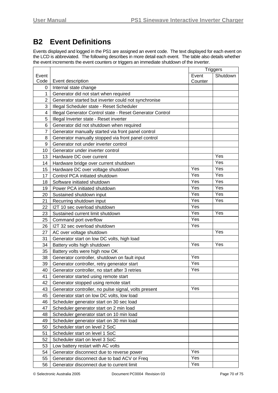## <span id="page-69-1"></span><span id="page-69-0"></span>**B2 Event Definitions**

Events displayed and logged in the PS1 are assigned an event code. The text displayed for each event on the LCD is abbreviated. The following describes in more detail each event. The table also details whether the event increments the event counters or triggers an immediate shutdown of the inverter.

|                |                                                           |         | <b>Triggers</b> |
|----------------|-----------------------------------------------------------|---------|-----------------|
| Event          |                                                           | Event   | Shutdown        |
| Code           | Event description                                         | Counter |                 |
| 0              | Internal state change                                     |         |                 |
| 1              | Generator did not start when required                     |         |                 |
| $\overline{2}$ | Generator started but inverter could not synchronise      |         |                 |
| 3              | Illegal Scheduler state - Reset Scheduler                 |         |                 |
| 4              | Illegal Generator Control state - Reset Generator Control |         |                 |
| 5              | Illegal Inverter state - Reset inverter                   |         |                 |
| 6              | Generator did not shutdown when required                  |         |                 |
| $\overline{7}$ | Generator manually started via front panel control        |         |                 |
| 8              | Generator manually stopped via front panel control        |         |                 |
| 9              | Generator not under inverter control                      |         |                 |
| 10             | Generator under inverter control                          |         |                 |
| 13             | Hardware DC over current                                  |         | Yes             |
| 14             | Hardware bridge over current shutdown                     |         | Yes             |
| 15             | Hardware DC over voltage shutdown                         | Yes     | Yes             |
| 17             | Control PCA initiated shutdown                            | Yes     | Yes             |
| 18             | Software initiated shutdown                               | Yes     | Yes             |
| 19             | Power PCA initiated shutdown                              | Yes     | Yes             |
| 20             | Sustained shutdown input                                  | Yes     | Yes             |
| 21             | Recurring shutdown input                                  | Yes     | Yes             |
| 22             | I2T 10 sec overload shutdown                              | Yes     |                 |
| 23             | Sustained current limit shutdown                          | Yes     | Yes             |
| 25             | Command port overflow                                     | Yes     |                 |
| 26             | I2T 32 sec overload shutdown                              | Yes     |                 |
| 27             | AC over voltage shutdown                                  |         | Yes             |
| 31             | Generator start on low DC volts, high load                |         |                 |
| 34             | Battery volts high shutdown                               | Yes     | Yes             |
| 35             | Battery volts were high now OK                            |         |                 |
| 38             | Generator controller, shutdown on fault input             | Yes     |                 |
| 39             | Generator controller, retry generator start               | Yes     |                 |
| 40             | Generator controller, no start after 3 retries            | Yes     |                 |
| 41             | Generator started using remote start                      |         |                 |
| 42             | Generator stopped using remote start                      |         |                 |
| 43             | Generator controller, no pulse signal, volts present      | Yes     |                 |
| 45             | Generator start on low DC volts, low load                 |         |                 |
| 46             | Scheduler generator start on 30 sec load                  |         |                 |
| 47             | Scheduler generator start on 2 min load                   |         |                 |
| 48             | Scheduler generator start on 10 min load                  |         |                 |
| 49             | Scheduler generator start on 30 min load                  |         |                 |
| 50             | Scheduler start on level 2 SoC                            |         |                 |
| 51             | Scheduler start on level 1 SoC                            |         |                 |
| 52             | Scheduler start on level 3 SoC                            |         |                 |
| 53             | Low battery restart with AC volts                         |         |                 |
| 54             | Generator disconnect due to reverse power                 | Yes     |                 |
| 55             | Generator disconnect due to bad ACV or Freq               | Yes     |                 |
| 56             | Generator disconnect due to current limit                 | Yes     |                 |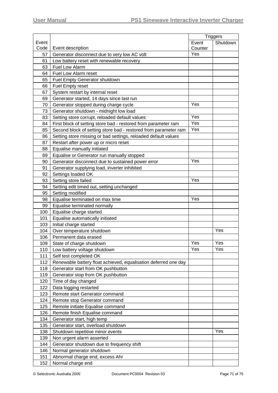|       |                                                                 |         | <b>Triggers</b> |
|-------|-----------------------------------------------------------------|---------|-----------------|
| Event |                                                                 | Event   | Shutdown        |
| Code  | Event description                                               | Counter |                 |
| 57    | Generator disconnect due to very low AC volt                    | Yes     |                 |
| 61    | Low battery reset with renewable recovery                       |         |                 |
| 63    | Fuel Low Alarm                                                  |         |                 |
| 64    | Fuel Low Alarm reset                                            |         |                 |
| 65    | Fuel Empty Generator shutdown                                   |         |                 |
| 66    | Fuel Empty reset                                                |         |                 |
| 67    | System restart by internal reset                                |         |                 |
| 69    | Generator started, 14 days since last run                       |         |                 |
| 70    | Generator stopped during charge cycle                           | Yes     |                 |
| 73    | Generator shutdown - midnight low load                          |         |                 |
| 83    | Setting store corrupt, reloaded default values                  | Yes     |                 |
| 84    | First block of setting store bad - restored from parameter ram  | Yes     |                 |
| 85    | Second block of setting store bad - restored from parameter ram | Yes     |                 |
| 86    | Setting store missing or bad settings, reloaded default values  |         |                 |
| 87    | Restart after power up or micro reset                           |         |                 |
| 88    | Equalise manually initiated                                     |         |                 |
| 89    | Equalise or Generator run manually stopped                      |         |                 |
| 90    | Generator disconnect due to sustained power error               | Yes     |                 |
| 91    | Generator supplying load, inverter inhibited                    |         |                 |
| 92    | Settings loaded OK                                              |         |                 |
| 93    | Setting store failed                                            | Yes     |                 |
| 94    | Setting edit timed out, setting unchanged                       |         |                 |
| 95    | Setting modified                                                |         |                 |
| 98    | Equalise terminated on max time                                 | Yes     |                 |
| 99    | Equalise terminated normally                                    |         |                 |
| 100   | Equalise charge started                                         |         |                 |
| 101   | Equalise automatically initiated                                |         |                 |
| 103   | Initial charge started                                          |         |                 |
| 104   | Over temperature shutdown                                       |         | Yes             |
| 106   | Permanent data erased                                           |         |                 |
| 109   | State of charge shutdown                                        | Yes     | Yes             |
| 110   | Low battery voltage shutdown                                    | Yes     | Yes             |
| 111   | Self test completed OK                                          |         |                 |
| 112   | Renewable battery float achieved, equalisation deferred one day |         |                 |
| 118   | Generator start from OK pushbutton                              |         |                 |
| 119   | Generator stop from OK pushbutton                               |         |                 |
| 120   | Time of day changed                                             |         |                 |
| 122   | Data logging restarted                                          |         |                 |
| 123   | Remote start Generator command                                  |         |                 |
| 124   | Remote stop Generator command                                   |         |                 |
| 125   | Remote initiate Equalise command                                |         |                 |
| 126   | Remote finish Equalise command                                  |         |                 |
| 134   | Generator start, high temp                                      |         |                 |
| 135   | Generator start, overload shutdown                              |         |                 |
| 138   | Shutdown repetitive minor events                                |         | Yes             |
| 139   | Non urgent alarm asserted                                       |         |                 |
| 144   | Generator shutdown due to frequency shift                       |         |                 |
| 146   | Normal generator shutdown                                       |         |                 |
| 151   | Abnormal charge end, excess Ahr                                 |         |                 |
| 152   | Normal charge end                                               |         |                 |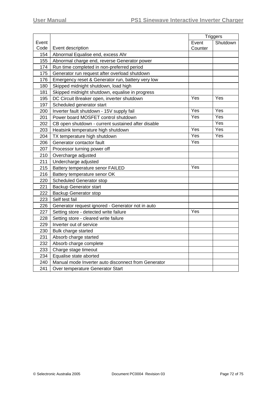|       |                                                     |         | <b>Triggers</b> |
|-------|-----------------------------------------------------|---------|-----------------|
| Event |                                                     | Event   | Shutdown        |
| Code  | Event description                                   | Counter |                 |
| 154   | Abnormal Equalise end, excess Ahr                   |         |                 |
| 155   | Abnormal charge end, reverse Generator power        |         |                 |
| 174   | Run time completed in non-preferred period          |         |                 |
| 175   | Generator run request after overload shutdown       |         |                 |
| 176   | Emergency reset & Generator run, battery very low   |         |                 |
| 180   | Skipped midnight shutdown, load high                |         |                 |
| 181   | Skipped midnight shutdown, equalise in progress     |         |                 |
| 195   | DC Circuit Breaker open, inverter shutdown          | Yes     | Yes             |
| 197   | Scheduled generator start                           |         |                 |
| 200   | Inverter fault shutdown - 15V supply fail           | Yes     | Yes             |
| 201   | Power board MOSFET control shutdown                 | Yes     | Yes             |
| 202   | CB open shutdown - current sustained after disable  |         | Yes             |
| 203   | Heatsink temperature high shutdown                  | Yes     | Yes             |
| 204   | TX temperature high shutdown                        | Yes     | Yes             |
| 206   | Generator contactor fault                           | Yes     |                 |
| 207   | Processor turning power off                         |         |                 |
| 210   | Overcharge adjusted                                 |         |                 |
| 211   | Undercharge adjusted                                |         |                 |
| 215   | Battery temperature senor FAILED                    | Yes     |                 |
| 216   | Battery temperature senor OK                        |         |                 |
| 220   | <b>Scheduled Generator stop</b>                     |         |                 |
| 221   | <b>Backup Generator start</b>                       |         |                 |
| 222   | <b>Backup Generator stop</b>                        |         |                 |
| 223   | Self test fail                                      |         |                 |
| 226   | Generator request ignored - Generator not in auto   |         |                 |
| 227   | Setting store - detected write failure              | Yes     |                 |
| 228   | Setting store - cleared write failure               |         |                 |
| 229   | Inverter out of service                             |         |                 |
| 230   | Bulk charge started                                 |         |                 |
| 231   | Absorb charge started                               |         |                 |
| 232   | Absorb charge complete                              |         |                 |
| 233   | Charge stage timeout                                |         |                 |
| 234   | Equalise state aborted                              |         |                 |
| 240   | Manual mode Inverter auto disconnect from Generator |         |                 |
| 241   | Over temperature Generator Start                    |         |                 |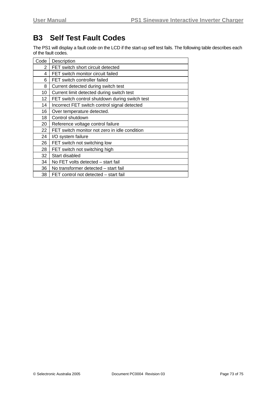## **B3 Self Test Fault Codes**

The PS1 will display a fault code on the LCD if the start-up self test fails. The following table describes each of the fault codes.

| Code | Description                                    |
|------|------------------------------------------------|
| 2    | FET switch short circuit detected              |
| 4    | FET switch monitor circuit failed              |
| 6    | FET switch controller failed                   |
| 8    | Current detected during switch test            |
| 10   | Current limit detected during switch test      |
| 12   | FET switch control shutdown during switch test |
| 14   | Incorrect FET switch control signal detected   |
| 16   | Over temperature detected.                     |
| 18   | Control shutdown                               |
| 20   | Reference voltage control failure              |
| 22   | FET switch monitor not zero in idle condition  |
| 24   | I/O system failure                             |
| 26   | FET switch not switching low                   |
| 28   | FET switch not switching high                  |
| 32   | Start disabled                                 |
| 34   | No FET volts detected – start fail             |
| 36   | No transformer detected - start fail           |
| 38   | FET control not detected - start fail          |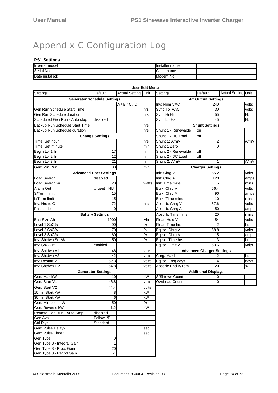# Appendix C Configuration Log

#### **PS1 Settings**

| Inverter model  | Installer name |  |
|-----------------|----------------|--|
| Serial No.      | Client name    |  |
| Date installed: | Modem<br>No.   |  |

| <b>User Edit Menu</b>              |                               |                       |               |                           |                                  |                            |       |
|------------------------------------|-------------------------------|-----------------------|---------------|---------------------------|----------------------------------|----------------------------|-------|
| Settings                           | Default                       | <b>Actual Setting</b> | Unit          | Settings                  | <b>Default</b>                   | <b>Actual Setting Unit</b> |       |
| <b>Generator Schedule Settings</b> |                               |                       |               | <b>AC Output Settings</b> |                                  |                            |       |
|                                    |                               | A/B/C/D               |               | Inv: Nom VAC              | 240                              |                            | volts |
| Gen Run Schedule Start Time        |                               |                       | hrs           | Sync Tol VAC              | 30                               |                            | volts |
| Gen Run Schedule duration          |                               |                       | hrs           | Sync Hi Hz                | 55                               |                            | Hz    |
| Scheduled Gen Run - Auto stop      | disabled                      |                       |               | Sync Lo Hz                | 45                               |                            | Hz    |
| Backup Run Schedule Start Time     |                               |                       | hrs           |                           | <b>Shunt Settings</b>            |                            |       |
| Backup Run Schedule duration       |                               |                       | hrs           | Shunt 1 - Renewable       | on                               |                            |       |
|                                    | <b>Change Settings</b>        |                       |               | Shunt 1 - DC Load         | off                              |                            |       |
| Time: Set hour                     |                               |                       | hrs           | Shunt 1: A/mV             | 2                                |                            | A/mV  |
| Time: Set minute                   |                               |                       | min           | Shunt 1 Zero              | 0                                |                            |       |
| Begin Lvl 1 hr                     | 17                            |                       | hr            | Shunt 2 - Renewable       | off                              |                            |       |
| Begin Lvl 2 hr                     | 12                            |                       | hr            | Shunt 2 - DC Load         | off                              |                            |       |
| Begin Lvl 3 hr                     | 21                            |                       | hr            | Shunt 2: A/mV             | 1                                |                            | A/mV  |
| Gen: Min Run                       | 30                            |                       | min           |                           | <b>Charger Settings</b>          |                            |       |
|                                    | <b>Advanced User Settings</b> |                       |               | Init: Chrg V              | 55.2                             |                            | volts |
| <b>Load Search</b>                 | disabled                      |                       |               | Init: Chrg A              | 120                              |                            | amps  |
| Load Search W                      | 20                            |                       | watts         | Init: Time mins           | 5                                |                            | mins  |
| Alarm Out                          | Urgent = $\overline{NU}$      |                       |               | Bulk: Chrg V              | 56.4                             |                            | volts |
| S/Term limit                       | 15                            |                       |               | Bulk: Chrg A              | 90                               |                            | amps  |
| L/Term limit                       | 15                            |                       |               | <b>Bulk: Time mins</b>    | 10                               |                            | mins  |
| Inv: Hrs to Off                    | 72                            |                       | hrs           | Absorb: Chrg V            | 57.6                             |                            | volts |
| Passcode                           | $\Omega$                      |                       |               | Absorb: Chrg A            | 50                               |                            | amps  |
|                                    | <b>Battery Settings</b>       |                       |               | Absorb: Time mins         | 20                               |                            | mins  |
| <b>Batt Size Ah</b>                | 1000                          |                       | Ahr           | Float: Hold V             | 54                               |                            | volts |
| Level 1 SoC%                       | 90                            |                       | $\%$          | Float: Time hrs           | $\mathfrak{p}$                   |                            | hrs   |
| Level 2 SoC%                       | 70                            |                       | %             | Eqlise: Chrg V            | 58.8                             |                            | volts |
| Level 3 SoC%                       | 60                            |                       | $\%$          | Eqlise: Chrg A            | 15                               |                            | amps  |
| Inv: Shtdwn Soc%                   | 50                            |                       | $\frac{1}{6}$ | Eqlise: Time hrs          | 3                                |                            | hrs   |
| Inv: SoC Cntl                      | enabled                       |                       |               | Eqlise: Limit V           | 63.6                             |                            | volts |
| Inv: Shtdwn V1                     | 46                            |                       | volts         |                           | <b>Advanced Charger Settings</b> |                            |       |
| Inv: Shtdwn V2                     | 42                            |                       | volts         | Chrg: Max hrs             |                                  |                            | hrs   |
| Inv: Restart V                     | 52.3                          |                       | volts         | Eqlise: Freq days         | 14                               |                            | days  |
| Inv: Shtdwn HV                     | 64.8                          |                       | volts         | Absorb: End A/15m         | 20                               |                            | $\%$  |
|                                    | <b>Generator Settings</b>     |                       |               |                           | <b>Additional Displays</b>       |                            |       |
| Gen: Max kW                        | 10 <sup>1</sup>               |                       | kW            | S/Shtdwn Count            | 0                                |                            |       |
| Gen: Start V1                      | 46.8                          |                       | volts         | Ovr/Load Count            | 0                                |                            |       |
| Gen: Start V2                      | 44.4                          |                       | volts         |                           |                                  |                            |       |
| 10min Start kW                     | 8                             |                       | kW            |                           |                                  |                            |       |
| 30min Start kW                     | 6                             |                       | kW            |                           |                                  |                            |       |
| Gen: Min Load kW                   | $\overline{50}$               |                       | %             |                           |                                  |                            |       |
| Gen: Reverse kW                    | $-1.2$                        |                       | kW            |                           |                                  |                            |       |
| Remote Gen Run - Auto Stop         | disabled                      |                       |               |                           |                                  |                            |       |
| <b>Gen Avail</b>                   | Follow I/P                    |                       |               |                           |                                  |                            |       |
| <b>Ctrl Rlys</b>                   | Standard                      |                       |               |                           |                                  |                            |       |
| Gen: Pulse Delay2                  |                               |                       | sec           |                           |                                  |                            |       |
| Gen: Pulse Time2                   |                               |                       | sec           |                           |                                  |                            |       |
| Gen Type                           | 0                             |                       |               |                           |                                  |                            |       |
| Gen Type 3 - Integral Gain         | 1                             |                       |               |                           |                                  |                            |       |
| Gen Type 3 - Prop. Gain            | 20                            |                       |               |                           |                                  |                            |       |
| Gen Type 3 - Period Gain           | $-1$                          |                       |               |                           |                                  |                            |       |